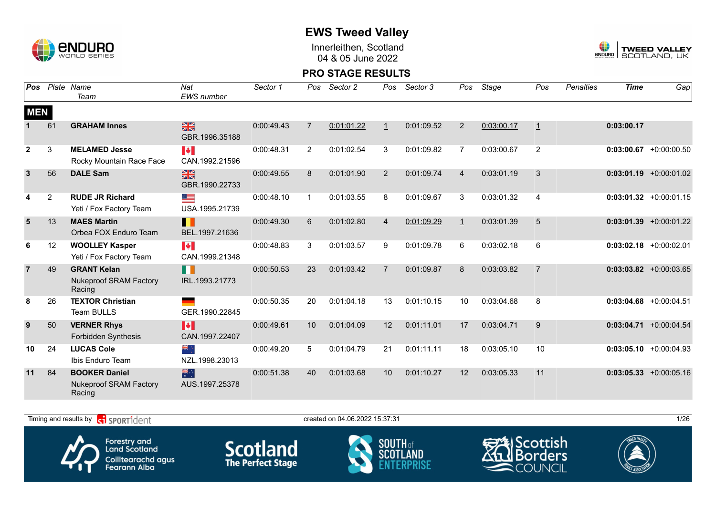

Innerleithen, Scotland 04 & 05 June 2022



#### **PRO STAGE RESULTS**

| Pos            |                | Plate Name<br>Team                                              | Nat<br><b>EWS</b> number                | Sector 1   | Pos            | Sector 2   | Pos            | Sector 3   | Pos            | Stage      | Pos            | <b>Penalties</b> | <b>Time</b> | Gap                       |
|----------------|----------------|-----------------------------------------------------------------|-----------------------------------------|------------|----------------|------------|----------------|------------|----------------|------------|----------------|------------------|-------------|---------------------------|
| <b>MEN</b>     |                |                                                                 |                                         |            |                |            |                |            |                |            |                |                  |             |                           |
|                | 61             | <b>GRAHAM Innes</b>                                             | $\frac{N}{N}$<br>GBR.1996.35188         | 0:00:49.43 | $\overline{7}$ | 0:01:01.22 | $\mathbf{1}$   | 0:01:09.52 | $\overline{2}$ | 0:03:00.17 | $\overline{1}$ |                  | 0:03:00.17  |                           |
| $\mathbf{2}$   | 3              | <b>MELAMED Jesse</b><br>Rocky Mountain Race Face                | <b>IV</b><br>CAN.1992.21596             | 0:00:48.31 | $\overline{2}$ | 0:01:02.54 | 3              | 0:01:09.82 | 7              | 0:03:00.67 | 2              |                  |             | $0:03:00.67$ +0:00:00.50  |
| $\mathbf{3}$   | 56             | <b>DALE Sam</b>                                                 | $\frac{N}{N}$<br>GBR.1990.22733         | 0:00:49.55 | 8              | 0:01:01.90 | 2              | 0:01:09.74 | 4              | 0:03:01.19 | 3              |                  |             | $0:03:01.19 + 0:00:01.02$ |
| 4              | $\overline{c}$ | <b>RUDE JR Richard</b><br>Yeti / Fox Factory Team               | <u>est</u><br>USA.1995.21739            | 0:00:48.10 | $\perp$        | 0:01:03.55 | 8              | 0:01:09.67 | 3              | 0:03:01.32 | $\overline{4}$ |                  |             | $0:03:01.32 + 0:00:01.15$ |
| 5              | 13             | <b>MAES Martin</b><br>Orbea FOX Enduro Team                     | П<br>BEL.1997.21636                     | 0:00:49.30 | 6              | 0:01:02.80 | $\overline{4}$ | 0:01:09.29 | $\mathbf{1}$   | 0:03:01.39 | 5              |                  |             | $0:03:01.39 + 0:00:01.22$ |
| 6              | 12             | <b>WOOLLEY Kasper</b><br>Yeti / Fox Factory Team                | $\blacktriangleright$<br>CAN.1999.21348 | 0:00:48.83 | 3              | 0:01:03.57 | 9              | 0:01:09.78 | 6              | 0:03:02.18 | 6              |                  |             | $0:03:02.18$ +0:00:02.01  |
| $\overline{7}$ | 49             | <b>GRANT Kelan</b><br><b>Nukeproof SRAM Factory</b><br>Racing   | H<br>IRL.1993.21773                     | 0:00:50.53 | 23             | 0:01:03.42 | $\overline{7}$ | 0:01:09.87 | 8              | 0:03:03.82 | $\overline{7}$ |                  |             | $0:03:03.82$ +0:00:03.65  |
| 8              | 26             | <b>TEXTOR Christian</b><br>Team BULLS                           | GER.1990.22845                          | 0:00:50.35 | 20             | 0:01:04.18 | 13             | 0:01:10.15 | 10             | 0:03:04.68 | 8              |                  |             | $0:03:04.68$ +0:00:04.51  |
| 9              | 50             | <b>VERNER Rhys</b><br>Forbidden Synthesis                       | H<br>CAN.1997.22407                     | 0:00:49.61 | 10             | 0:01:04.09 | 12             | 0:01:11.01 | 17             | 0:03:04.71 | 9              |                  |             | $0:03:04.71$ +0:00:04.54  |
| 10             | 24             | <b>LUCAS Cole</b><br>Ibis Enduro Team                           | ं श्रेष्टि<br>NZL.1998.23013            | 0:00:49.20 | 5              | 0:01:04.79 | 21             | 0:01:11.11 | 18             | 0:03:05.10 | 10             |                  |             | $0:03:05.10 + 0:00:04.93$ |
| 11             | 84             | <b>BOOKER Daniel</b><br><b>Nukeproof SRAM Factory</b><br>Racing | 業業<br>AUS.1997.25378                    | 0:00:51.38 | 40             | 0:01:03.68 | 10             | 0:01:10.27 | 12             | 0:03:05.33 | 11             |                  |             | $0:03:05.33 + 0:00:05.16$ |

Timing and results by  $\overline{c_1}$  SPORT1 $\overline{1}$  dentity and the set of the created on 04.06.2022 15:37:31 1/26



Forestry and<br>Land Scotland Coilltearachd agus<br>Fearann Alba







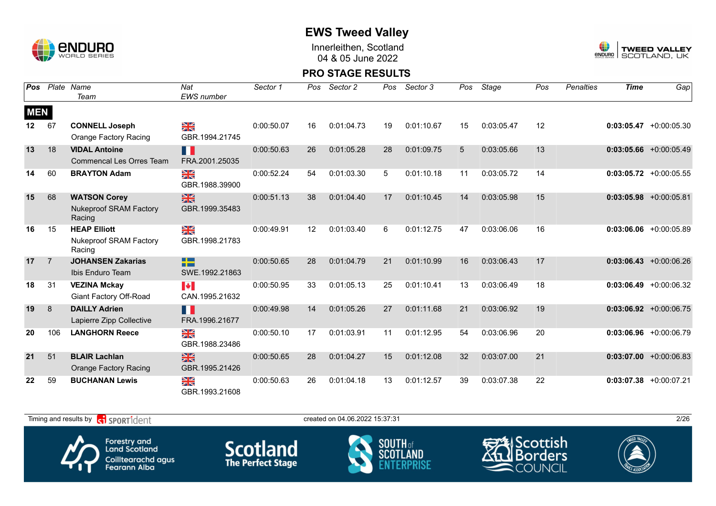

Innerleithen, Scotland 04 & 05 June 2022



#### **PRO STAGE RESULTS**

| Pos        |                | Plate Name<br>Team                                   | Nat<br><b>EWS</b> number                  | Sector 1   | Pos | Sector 2   | Pos | Sector 3   | Pos | Stage      | Pos | <b>Penalties</b> | <b>Time</b> | Gap                       |
|------------|----------------|------------------------------------------------------|-------------------------------------------|------------|-----|------------|-----|------------|-----|------------|-----|------------------|-------------|---------------------------|
|            |                |                                                      |                                           |            |     |            |     |            |     |            |     |                  |             |                           |
| <b>MEN</b> |                |                                                      |                                           |            |     |            |     |            |     |            |     |                  |             |                           |
| $12 \,$    | 67             | <b>CONNELL Joseph</b>                                | ¥≼                                        | 0:00:50.07 | 16  | 0:01:04.73 | 19  | 0:01:10.67 | 15  | 0:03:05.47 | 12  |                  |             | $0:03:05.47 + 0:00:05.30$ |
|            |                | Orange Factory Racing                                | GBR.1994.21745                            |            |     |            |     |            |     |            |     |                  |             |                           |
| 13         | 18             | <b>VIDAL Antoine</b>                                 | H.                                        | 0:00:50.63 | 26  | 0:01:05.28 | 28  | 0:01:09.75 | 5   | 0:03:05.66 | 13  |                  |             | $0:03:05.66$ +0:00:05.49  |
|            |                | <b>Commencal Les Orres Team</b>                      | FRA.2001.25035                            |            |     |            |     |            |     |            |     |                  |             |                           |
| 14         | 60             | <b>BRAYTON Adam</b>                                  | $\frac{\sum x}{\sum x}$                   | 0:00:52.24 | 54  | 0:01:03.30 | 5   | 0:01:10.18 | 11  | 0:03:05.72 | 14  |                  |             | $0:03:05.72 + 0:00:05.55$ |
|            |                |                                                      | GBR.1988.39900                            |            |     |            |     |            |     |            |     |                  |             |                           |
| 15         | 68             | <b>WATSON Corey</b>                                  | $\frac{2}{3}$                             | 0:00:51.13 | 38  | 0:01:04.40 | 17  | 0:01:10.45 | 14  | 0:03:05.98 | 15  |                  |             | $0:03:05.98$ +0:00:05.81  |
|            |                | <b>Nukeproof SRAM Factory</b><br>Racing              | GBR.1999.35483                            |            |     |            |     |            |     |            |     |                  |             |                           |
| 16         | 15             | <b>HEAP Elliott</b>                                  | $\frac{\Delta Z}{\Delta N}$               | 0:00:49.91 | 12  | 0:01:03.40 | 6   | 0:01:12.75 | 47  | 0:03:06.06 | 16  |                  |             | $0:03:06.06$ +0:00:05.89  |
|            |                | <b>Nukeproof SRAM Factory</b><br>Racing              | GBR.1998.21783                            |            |     |            |     |            |     |            |     |                  |             |                           |
| 17         | $\overline{7}$ | <b>JOHANSEN Zakarias</b>                             | <u>ra ba</u><br><b>STEP</b>               | 0:00:50.65 | 28  | 0:01:04.79 | 21  | 0:01:10.99 | 16  | 0:03:06.43 | 17  |                  |             | $0:03:06.43 + 0:00:06.26$ |
|            |                | Ibis Enduro Team                                     | SWE.1992.21863                            |            |     |            |     |            |     |            |     |                  |             |                           |
| 18         | 31             | <b>VEZINA Mckay</b>                                  | <b>Expert</b>                             | 0:00:50.95 | 33  | 0:01:05.13 | 25  | 0:01:10.41 | 13  | 0:03:06.49 | 18  |                  | 0:03:06.49  | $+0:00:06.32$             |
|            |                | <b>Giant Factory Off-Road</b>                        | CAN.1995.21632                            |            |     |            |     |            |     |            |     |                  |             |                           |
| 19         | 8              | <b>DAILLY Adrien</b>                                 | Ш                                         | 0:00:49.98 | 14  | 0:01:05.26 | 27  | 0:01:11.68 | 21  | 0:03:06.92 | 19  |                  |             | $0:03:06.92 +0:00:06.75$  |
|            |                | Lapierre Zipp Collective                             | FRA.1996.21677                            |            |     |            |     |            |     |            |     |                  |             |                           |
| 20         | 106            | <b>LANGHORN Reece</b>                                | ≥k                                        | 0:00:50.10 | 17  | 0:01:03.91 | 11  | 0:01:12.95 | 54  | 0:03:06.96 | 20  |                  |             | $0:03:06.96$ +0:00:06.79  |
|            |                |                                                      | GBR.1988.23486                            |            |     |            |     |            |     |            |     |                  |             |                           |
| 21         | 51             | <b>BLAIR Lachlan</b><br><b>Orange Factory Racing</b> | $\frac{N}{N}$<br>GBR.1995.21426           | 0:00:50.65 | 28  | 0:01:04.27 | 15  | 0:01:12.08 | 32  | 0:03:07.00 | 21  |                  |             | $0:03:07.00 + 0:00:06.83$ |
| 22         | 59             | <b>BUCHANAN Lewis</b>                                |                                           | 0:00:50.63 | 26  | 0:01:04.18 | 13  | 0:01:12.57 | 39  | 0:03:07.38 | 22  |                  |             | $0:03:07.38$ +0:00:07.21  |
|            |                |                                                      | $\frac{\sum x}{\sum x}$<br>GBR.1993.21608 |            |     |            |     |            |     |            |     |                  |             |                           |

Timing and results by  $\overline{c_1}$  SPORT1 $\overline{d}$  enter the created on 04.06.2022 15:37:31 2/26 Scottish Forestry and<br>Land Scotland **Scotland SOUTH** of orders scni Coilltearachd agus<br>Fearann Alba COUNCIL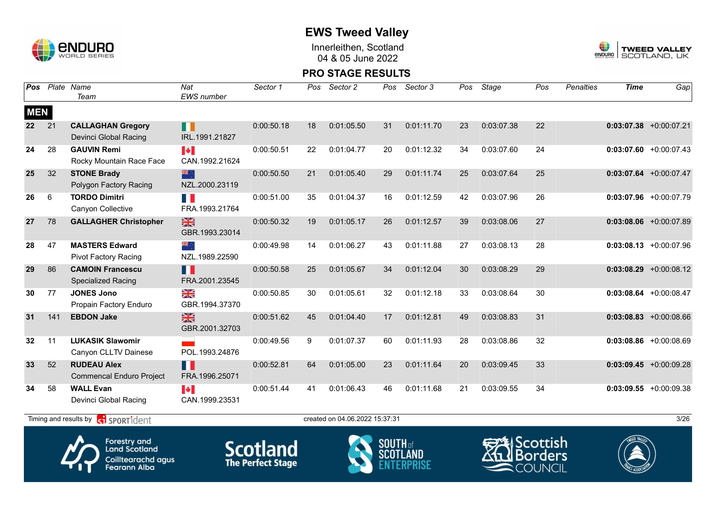

Innerleithen, Scotland 04 & 05 June 2022



#### **PRO STAGE RESULTS**

| <b>Pos</b> |     | Plate Name<br>Team                                    | Nat<br>EWS number                       | Sector 1   | Pos | Sector 2                       | Pos | Sector 3   | Pos | Stage      | Pos | Penalties | <b>Time</b> | Gap                       |
|------------|-----|-------------------------------------------------------|-----------------------------------------|------------|-----|--------------------------------|-----|------------|-----|------------|-----|-----------|-------------|---------------------------|
| <b>MEN</b> |     |                                                       |                                         |            |     |                                |     |            |     |            |     |           |             |                           |
| 22         | 21  | <b>CALLAGHAN Gregory</b><br>Devinci Global Racing     | <b>. .</b><br>IRL.1991.21827            | 0:00:50.18 | 18  | 0:01:05.50                     | 31  | 0:01:11.70 | 23  | 0:03:07.38 | 22  |           |             | $0:03:07.38$ +0:00:07.21  |
| 24         | 28  | <b>GAUVIN Remi</b><br>Rocky Mountain Race Face        | $\blacktriangleright$<br>CAN.1992.21624 | 0:00:50.51 | 22  | 0:01:04.77                     | 20  | 0:01:12.32 | 34  | 0:03:07.60 | 24  |           |             | $0:03:07.60$ +0:00:07.43  |
| 25         | 32  | <b>STONE Brady</b><br>Polygon Factory Racing          | 米<br>NZL.2000.23119                     | 0:00:50.50 | 21  | 0:01:05.40                     | 29  | 0:01:11.74 | 25  | 0:03:07.64 | 25  |           |             | $0:03:07.64$ +0:00:07.47  |
| 26         | 6   | <b>TORDO Dimitri</b><br>Canyon Collective             | H<br>FRA.1993.21764                     | 0:00:51.00 | 35  | 0:01:04.37                     | 16  | 0:01:12.59 | 42  | 0:03:07.96 | 26  |           |             | $0:03:07.96$ +0:00:07.79  |
| 27         | 78  | <b>GALLAGHER Christopher</b>                          | $\frac{N}{N}$<br>GBR.1993.23014         | 0:00:50.32 | 19  | 0:01:05.17                     | 26  | 0:01:12.57 | 39  | 0:03:08.06 | 27  |           |             | $0:03:08.06$ +0:00:07.89  |
| 28         | 47  | <b>MASTERS Edward</b><br><b>Pivot Factory Racing</b>  | , , क्राह<br>NZL.1989.22590             | 0:00:49.98 | 14  | 0:01:06.27                     | 43  | 0:01:11.88 | 27  | 0:03:08.13 | 28  |           |             | $0:03:08.13 + 0:00:07.96$ |
| 29         | 86  | <b>CAMOIN Francescu</b><br><b>Specialized Racing</b>  | Ш<br>FRA.2001.23545                     | 0:00:50.58 | 25  | 0:01:05.67                     | 34  | 0:01:12.04 | 30  | 0:03:08.29 | 29  |           |             | $0:03:08.29$ +0:00:08.12  |
| 30         | 77  | <b>JONES Jono</b><br>Propain Factory Enduro           | $\frac{N}{N}$<br>GBR.1994.37370         | 0:00:50.85 | 30  | 0:01:05.61                     | 32  | 0:01:12.18 | 33  | 0:03:08.64 | 30  |           |             | $0:03:08.64$ +0:00:08.47  |
| 31         | 141 | <b>EBDON Jake</b>                                     | $\frac{N}{N}$<br>GBR.2001.32703         | 0:00:51.62 | 45  | 0:01:04.40                     | 17  | 0:01:12.81 | 49  | 0:03:08.83 | 31  |           |             | $0:03:08.83$ +0:00:08.66  |
| 32         | 11  | <b>LUKASIK Slawomir</b><br>Canyon CLLTV Dainese       | POL.1993.24876                          | 0:00:49.56 | 9   | 0:01:07.37                     | 60  | 0:01:11.93 | 28  | 0:03:08.86 | 32  |           |             | $0:03:08.86$ +0:00:08.69  |
| 33         | 52  | <b>RUDEAU Alex</b><br><b>Commencal Enduro Project</b> | Ш<br>FRA.1996.25071                     | 0:00:52.81 | 64  | 0:01:05.00                     | 23  | 0:01:11.64 | 20  | 0:03:09.45 | 33  |           |             | $0:03:09.45 +0:00:09.28$  |
| 34         | 58  | <b>WALL Evan</b><br>Devinci Global Racing             | <b>A</b><br>CAN.1999.23531              | 0:00:51.44 | 41  | 0:01:06.43                     | 46  | 0:01:11.68 | 21  | 0:03:09.55 | 34  |           |             | $0:03:09.55 + 0:00:09.38$ |
|            |     | Timing and results by <b>R</b> SPORT1dent             |                                         |            |     | created on 04.06.2022 15:37:31 |     |            |     |            |     |           |             | 3/26                      |



Forestry and<br>Land Scotland Coilltearachd agus<br>Fearann Alba





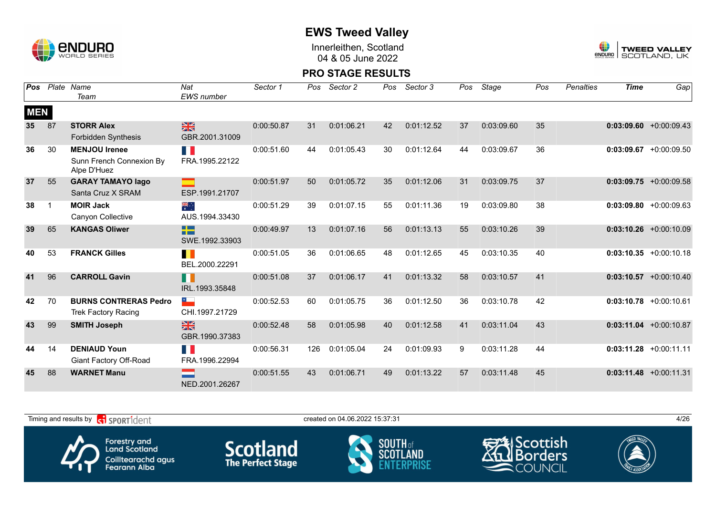

Innerleithen, Scotland 04 & 05 June 2022



| Pos        |             | Plate Name<br>Team                                              | Nat<br><b>EWS</b> number                             | Sector 1   | Pos | Sector 2   | Pos | Sector 3   | Pos | Stage      | Pos | <b>Penalties</b> | <b>Time</b> | Gap                       |
|------------|-------------|-----------------------------------------------------------------|------------------------------------------------------|------------|-----|------------|-----|------------|-----|------------|-----|------------------|-------------|---------------------------|
| <b>MEN</b> |             |                                                                 |                                                      |            |     |            |     |            |     |            |     |                  |             |                           |
| 35         | 87          | <b>STORR Alex</b><br><b>Forbidden Synthesis</b>                 | $\frac{N}{N}$<br>GBR.2001.31009                      | 0:00:50.87 | 31  | 0:01:06.21 | 42  | 0:01:12.52 | 37  | 0:03:09.60 | 35  |                  |             | $0:03:09.60 + 0:00:09.43$ |
| 36         | 30          | <b>MENJOU Irenee</b><br>Sunn French Connexion By<br>Alpe D'Huez | FI I<br>FRA.1995.22122                               | 0:00:51.60 | 44  | 0:01:05.43 | 30  | 0:01:12.64 | 44  | 0:03:09.67 | 36  |                  |             | $0:03:09.67$ +0:00:09.50  |
| 37         | 55          | <b>GARAY TAMAYO lago</b><br>Santa Cruz X SRAM                   | ESP.1991.21707                                       | 0:00:51.97 | 50  | 0:01:05.72 | 35  | 0:01:12.06 | 31  | 0:03:09.75 | 37  |                  |             | $0:03:09.75$ +0:00:09.58  |
| 38         | $\mathbf 1$ | <b>MOIR Jack</b><br>Canyon Collective                           | ैं<br>AUS.1994.33430                                 | 0:00:51.29 | 39  | 0:01:07.15 | 55  | 0:01:11.36 | 19  | 0:03:09.80 | 38  |                  |             | $0:03:09.80 + 0:00:09.63$ |
| 39         | 65          | <b>KANGAS Oliwer</b>                                            | <b>The Contract Street</b><br>a ma<br>SWE.1992.33903 | 0:00:49.97 | 13  | 0:01:07.16 | 56  | 0:01:13.13 | 55  | 0:03:10.26 | 39  |                  |             | $0:03:10.26$ +0:00:10.09  |
| 40         | 53          | <b>FRANCK Gilles</b>                                            | ш<br>BEL.2000.22291                                  | 0:00:51.05 | 36  | 0:01:06.65 | 48  | 0:01:12.65 | 45  | 0:03:10.35 | 40  |                  |             | $0:03:10.35 +0:00:10.18$  |
| 41         | 96          | <b>CARROLL Gavin</b>                                            | II.<br>IRL.1993.35848                                | 0:00:51.08 | 37  | 0:01:06.17 | 41  | 0:01:13.32 | 58  | 0:03:10.57 | 41  |                  |             | $0:03:10.57$ +0:00:10.40  |
| 42         | 70          | <b>BURNS CONTRERAS Pedro</b><br><b>Trek Factory Racing</b>      | $\overline{\phantom{a}}$<br>CHI.1997.21729           | 0:00:52.53 | 60  | 0:01:05.75 | 36  | 0:01:12.50 | 36  | 0:03:10.78 | 42  |                  |             | $0:03:10.78$ +0:00:10.61  |
| 43         | 99          | <b>SMITH Joseph</b>                                             | $\frac{N}{N}$<br>GBR.1990.37383                      | 0:00:52.48 | 58  | 0:01:05.98 | 40  | 0:01:12.58 | 41  | 0:03:11.04 | 43  |                  |             | $0:03:11.04$ +0:00:10.87  |
| 44         | 14          | <b>DENIAUD Youn</b><br>Giant Factory Off-Road                   | T.<br>FRA.1996.22994                                 | 0:00:56.31 | 126 | 0:01:05.04 | 24  | 0:01:09.93 | 9   | 0:03:11.28 | 44  |                  |             | $0:03:11.28$ +0:00:11.11  |
| 45         | 88          | <b>WARNET Manu</b>                                              | NED.2001.26267                                       | 0:00:51.55 | 43  | 0:01:06.71 | 49  | 0:01:13.22 | 57  | 0:03:11.48 | 45  |                  |             | $0:03:11.48$ +0:00:11.31  |

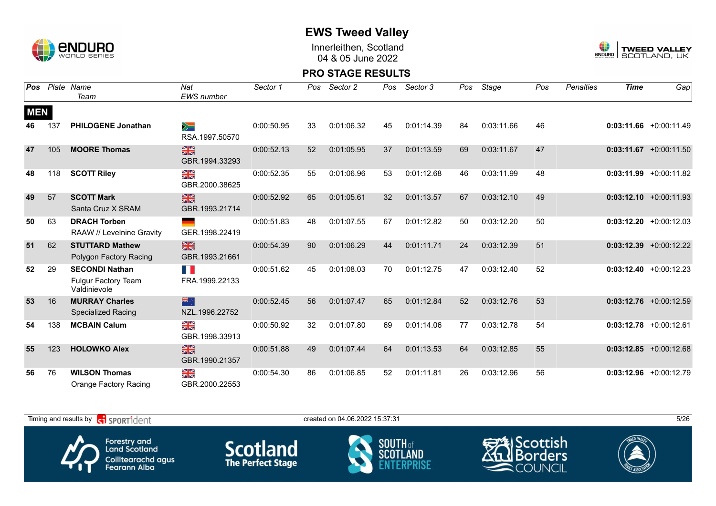

Innerleithen, Scotland 04 & 05 June 2022



#### **PRO STAGE RESULTS**

| Pos        |     | Plate Name                                                   | Nat                                       | Sector 1   | Pos | Sector 2   | Pos | Sector 3   | Pos | Stage      | Pos | <b>Penalties</b> | <b>Time</b> | Gap                       |
|------------|-----|--------------------------------------------------------------|-------------------------------------------|------------|-----|------------|-----|------------|-----|------------|-----|------------------|-------------|---------------------------|
|            |     | Team                                                         | <b>EWS</b> number                         |            |     |            |     |            |     |            |     |                  |             |                           |
| <b>MEN</b> |     |                                                              |                                           |            |     |            |     |            |     |            |     |                  |             |                           |
| 46         | 137 | <b>PHILOGENE Jonathan</b>                                    | ╳═<br>RSA.1997.50570                      | 0:00:50.95 | 33  | 0:01:06.32 | 45  | 0:01:14.39 | 84  | 0:03:11.66 | 46  |                  |             | $0:03:11.66 + 0:00:11.49$ |
| 47         | 105 | <b>MOORE Thomas</b>                                          | $\frac{N}{N}$<br>GBR.1994.33293           | 0:00:52.13 | 52  | 0:01:05.95 | 37  | 0:01:13.59 | 69  | 0:03:11.67 | 47  |                  |             | $0:03:11.67$ +0:00:11.50  |
| 48         | 118 | <b>SCOTT Riley</b>                                           | $\frac{\sum x}{\sum x}$<br>GBR.2000.38625 | 0:00:52.35 | 55  | 0:01:06.96 | 53  | 0:01:12.68 | 46  | 0:03:11.99 | 48  |                  |             | $0:03:11.99 + 0:00:11.82$ |
| 49         | 57  | <b>SCOTT Mark</b><br>Santa Cruz X SRAM                       | $\frac{N}{N}$<br>GBR.1993.21714           | 0:00:52.92 | 65  | 0:01:05.61 | 32  | 0:01:13.57 | 67  | 0:03:12.10 | 49  |                  |             | $0:03:12.10 + 0:00:11.93$ |
| 50         | 63  | <b>DRACH Torben</b><br>RAAW // Levelnine Gravity             | GER.1998.22419                            | 0:00:51.83 | 48  | 0:01:07.55 | 67  | 0:01:12.82 | 50  | 0:03:12.20 | 50  |                  |             | $0:03:12.20 +0:00:12.03$  |
| 51         | 62  | <b>STUTTARD Mathew</b><br>Polygon Factory Racing             | $\frac{N}{N}$<br>GBR.1993.21661           | 0:00:54.39 | 90  | 0:01:06.29 | 44  | 0:01:11.71 | 24  | 0:03:12.39 | 51  |                  |             | $0:03:12.39$ +0:00:12.22  |
| 52         | 29  | <b>SECONDI Nathan</b><br>Fulgur Factory Team<br>Valdinievole | n M<br>FRA.1999.22133                     | 0:00:51.62 | 45  | 0:01:08.03 | 70  | 0:01:12.75 | 47  | 0:03:12.40 | 52  |                  |             | $0:03:12.40 +0:00:12.23$  |
| 53         | 16  | <b>MURRAY Charles</b><br><b>Specialized Racing</b>           | 米宁<br>NZL.1996.22752                      | 0:00:52.45 | 56  | 0:01:07.47 | 65  | 0:01:12.84 | 52  | 0:03:12.76 | 53  |                  |             | $0:03:12.76$ +0:00:12.59  |
| 54         | 138 | <b>MCBAIN Calum</b>                                          | $\frac{\sum x}{\sum x}$<br>GBR.1998.33913 | 0:00:50.92 | 32  | 0:01:07.80 | 69  | 0:01:14.06 | 77  | 0:03:12.78 | 54  |                  |             | $0:03:12.78$ +0:00:12.61  |
| 55         | 123 | <b>HOLOWKO Alex</b>                                          | $\frac{N}{N}$<br>GBR.1990.21357           | 0:00:51.88 | 49  | 0:01:07.44 | 64  | 0:01:13.53 | 64  | 0:03:12.85 | 55  |                  |             | $0:03:12.85 + 0:00:12.68$ |
| 56         | 76  | <b>WILSON Thomas</b><br>Orange Factory Racing                | ≥k<br>GBR.2000.22553                      | 0:00:54.30 | 86  | 0:01:06.85 | 52  | 0:01:11.81 | 26  | 0:03:12.96 | 56  |                  |             | $0:03:12.96 +0:00:12.79$  |

Timing and results by  $\overline{c_1}$  SPORT1 $\overline{d}$  enter the created on 04.06.2022 15:37:31 5/26 Scottish Forestry and<br>Land Scotland **Scotland SOUTH** of orders scni Coilltearachd agus<br>Fearann Alba COUNCIL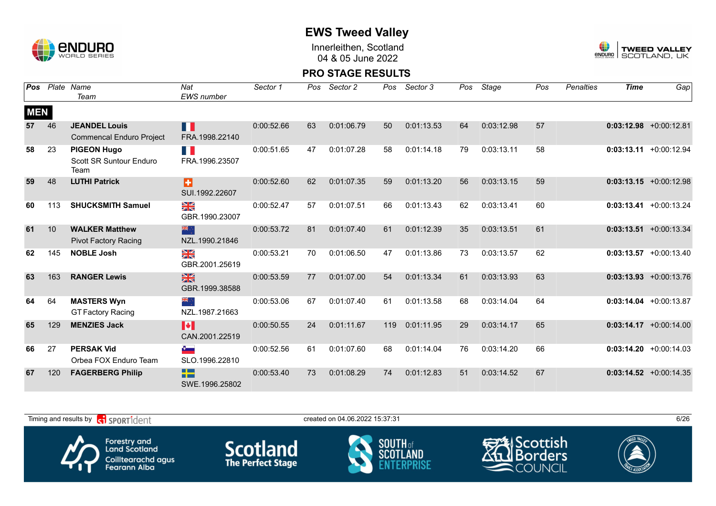

Innerleithen, Scotland 04 & 05 June 2022



| Pos        | Plate | Name                            | Nat                                  | Sector 1   | Pos. | Sector 2   | Pos | Sector 3   | Pos | Stage      | Pos | <b>Penalties</b> | <b>Time</b> | Gap                       |
|------------|-------|---------------------------------|--------------------------------------|------------|------|------------|-----|------------|-----|------------|-----|------------------|-------------|---------------------------|
|            |       | Team                            | EWS number                           |            |      |            |     |            |     |            |     |                  |             |                           |
| <b>MEN</b> |       |                                 |                                      |            |      |            |     |            |     |            |     |                  |             |                           |
| 57         | 46    | <b>JEANDEL Louis</b>            | П                                    | 0:00:52.66 | 63   | 0:01:06.79 | 50  | 0:01:13.53 | 64  | 0:03:12.98 | 57  |                  |             | $0:03:12.98$ +0:00:12.81  |
|            |       | <b>Commencal Enduro Project</b> | FRA.1998.22140                       |            |      |            |     |            |     |            |     |                  |             |                           |
| 58         | 23    | <b>PIGEON Hugo</b>              | E.<br>FRA.1996.23507                 | 0:00:51.65 | 47   | 0:01:07.28 | 58  | 0:01:14.18 | 79  | 0:03:13.11 | 58  |                  |             | $0:03:13.11 + 0:00:12.94$ |
|            |       | Scott SR Suntour Enduro<br>Team |                                      |            |      |            |     |            |     |            |     |                  |             |                           |
| 59         | 48    | <b>LUTHI Patrick</b>            | B                                    | 0:00:52.60 | 62   | 0:01:07.35 | 59  | 0:01:13.20 | 56  | 0:03:13.15 | 59  |                  |             | $0:03:13.15 + 0:00:12.98$ |
|            |       |                                 | SUI.1992.22607                       |            |      |            |     |            |     |            |     |                  |             |                           |
| 60         | 113   | <b>SHUCKSMITH Samuel</b>        | ≥k                                   | 0:00:52.47 | 57   | 0:01:07.51 | 66  | 0:01:13.43 | 62  | 0:03:13.41 | 60  |                  |             | $0:03:13.41 + 0:00:13.24$ |
|            |       |                                 | GBR.1990.23007                       |            |      |            |     |            |     |            |     |                  |             |                           |
| 61         | 10    | <b>WALKER Matthew</b>           | 米心                                   | 0:00:53.72 | 81   | 0:01:07.40 | 61  | 0:01:12.39 | 35  | 0:03:13.51 | 61  |                  |             | $0:03:13.51 + 0:00:13.34$ |
|            |       | <b>Pivot Factory Racing</b>     | NZL.1990.21846                       |            |      |            |     |            |     |            |     |                  |             |                           |
| 62         | 145   | <b>NOBLE Josh</b>               | ≥k                                   | 0:00:53.21 | 70   | 0:01:06.50 | 47  | 0:01:13.86 | 73  | 0:03:13.57 | 62  |                  |             | $0:03:13.57$ +0:00:13.40  |
|            |       |                                 | GBR.2001.25619                       |            |      |            |     |            |     |            |     |                  |             |                           |
| 63         | 163   | <b>RANGER Lewis</b>             | $\frac{N}{N}$                        | 0:00:53.59 | 77   | 0:01:07.00 | 54  | 0:01:13.34 | 61  | 0:03:13.93 | 63  |                  |             | $0:03:13.93 + 0:00:13.76$ |
|            |       |                                 | GBR.1999.38588                       |            |      |            |     |            |     |            |     |                  |             |                           |
| 64         | 64    | <b>MASTERS Wyn</b>              | ्र ≫                                 | 0:00:53.06 | 67   | 0:01:07.40 | 61  | 0:01:13.58 | 68  | 0:03:14.04 | 64  |                  |             | $0:03:14.04$ +0:00:13.87  |
|            |       | <b>GT Factory Racing</b>        | NZL.1987.21663                       |            |      |            |     |            |     |            |     |                  |             |                           |
| 65         | 129   | <b>MENZIES Jack</b>             | M                                    | 0:00:50.55 | 24   | 0:01:11.67 | 119 | 0:01:11.95 | 29  | 0:03:14.17 | 65  |                  |             | $0:03:14.17 + 0:00:14.00$ |
|            |       |                                 | CAN.2001.22519                       |            |      |            |     |            |     |            |     |                  |             |                           |
| 66         | 27    | <b>PERSAK Vid</b>               | $\bullet$                            | 0:00:52.56 | 61   | 0:01:07.60 | 68  | 0:01:14.04 | 76  | 0:03:14.20 | 66  |                  |             | $0:03:14.20 + 0:00:14.03$ |
|            |       | Orbea FOX Enduro Team           | SLO.1996.22810                       |            |      |            |     |            |     |            |     |                  |             |                           |
| 67         | 120   | <b>FAGERBERG Philip</b>         | <u>e provinc</u><br><b>TELESCOPE</b> | 0:00:53.40 | 73   | 0:01:08.29 | 74  | 0:01:12.83 | 51  | 0:03:14.52 | 67  |                  |             | $0:03:14.52 + 0:00:14.35$ |
|            |       |                                 | SWE.1996.25802                       |            |      |            |     |            |     |            |     |                  |             |                           |

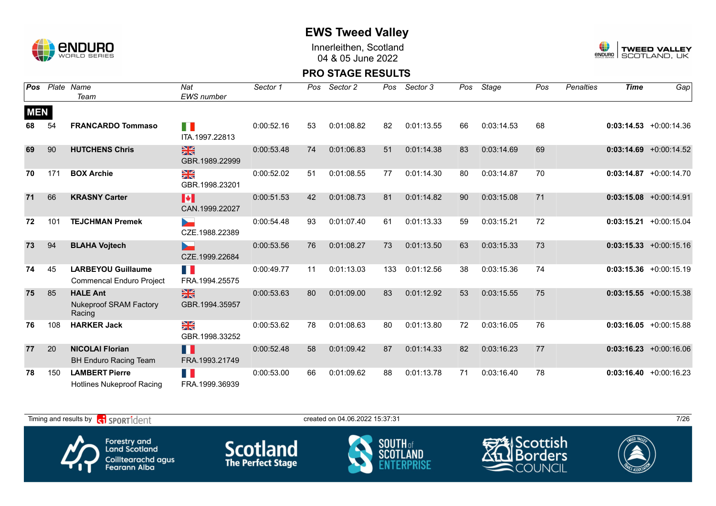

Innerleithen, Scotland 04 & 05 June 2022



#### **PRO STAGE RESULTS**

| Pos        |     | Plate Name                                                   | Nat                             | Sector 1   | Pos | Sector 2   | Pos | Sector 3   | Pos | Stage      | Pos | <b>Penalties</b> | <b>Time</b> | Gap                       |
|------------|-----|--------------------------------------------------------------|---------------------------------|------------|-----|------------|-----|------------|-----|------------|-----|------------------|-------------|---------------------------|
|            |     | Team                                                         | <b>EWS</b> number               |            |     |            |     |            |     |            |     |                  |             |                           |
| <b>MEN</b> |     |                                                              |                                 |            |     |            |     |            |     |            |     |                  |             |                           |
| 68         | 54  | <b>FRANCARDO Tommaso</b>                                     | H.<br>ITA.1997.22813            | 0:00:52.16 | 53  | 0:01:08.82 | 82  | 0:01:13.55 | 66  | 0:03:14.53 | 68  |                  |             | $0:03:14.53 + 0:00:14.36$ |
| 69         | 90  | <b>HUTCHENS Chris</b>                                        | $\frac{N}{N}$<br>GBR.1989.22999 | 0:00:53.48 | 74  | 0:01:06.83 | 51  | 0:01:14.38 | 83  | 0:03:14.69 | 69  |                  |             | $0:03:14.69$ +0:00:14.52  |
| 70         | 171 | <b>BOX Archie</b>                                            | ≥k<br>GBR.1998.23201            | 0:00:52.02 | 51  | 0:01:08.55 | 77  | 0:01:14.30 | 80  | 0:03:14.87 | 70  |                  |             | $0:03:14.87$ +0:00:14.70  |
| 71         | 66  | <b>KRASNY Carter</b>                                         | M<br>CAN.1999.22027             | 0:00:51.53 | 42  | 0:01:08.73 | 81  | 0:01:14.82 | 90  | 0:03:15.08 | 71  |                  |             | $0:03:15.08$ +0:00:14.91  |
| 72         | 101 | <b>TEJCHMAN Premek</b>                                       | CZE.1988.22389                  | 0:00:54.48 | 93  | 0:01:07.40 | 61  | 0:01:13.33 | 59  | 0:03:15.21 | 72  |                  | 0:03:15.21  | $+0:00:15.04$             |
| 73         | 94  | <b>BLAHA Vojtech</b>                                         | 5<br>CZE.1999.22684             | 0:00:53.56 | 76  | 0:01:08.27 | 73  | 0:01:13.50 | 63  | 0:03:15.33 | 73  |                  |             | $0:03:15.33 + 0:00:15.16$ |
| 74         | 45  | <b>LARBEYOU Guillaume</b><br><b>Commencal Enduro Project</b> | FRA.1994.25575                  | 0:00:49.77 | 11  | 0:01:13.03 | 133 | 0:01:12.56 | 38  | 0:03:15.36 | 74  |                  |             | $0:03:15.36 + 0:00:15.19$ |
| 75         | 85  | <b>HALE Ant</b><br><b>Nukeproof SRAM Factory</b><br>Racing   | $\frac{N}{N}$<br>GBR.1994.35957 | 0:00:53.63 | 80  | 0:01:09.00 | 83  | 0:01:12.92 | 53  | 0:03:15.55 | 75  |                  |             | $0:03:15.55$ +0:00:15.38  |
| 76         | 108 | <b>HARKER Jack</b>                                           | ≥k<br>X<br>GBR.1998.33252       | 0:00:53.62 | 78  | 0:01:08.63 | 80  | 0:01:13.80 | 72  | 0:03:16.05 | 76  |                  |             | $0:03:16.05 + 0:00:15.88$ |
| 77         | 20  | <b>NICOLAI Florian</b><br><b>BH Enduro Racing Team</b>       | H<br>FRA.1993.21749             | 0:00:52.48 | 58  | 0:01:09.42 | 87  | 0:01:14.33 | 82  | 0:03:16.23 | 77  |                  |             | $0:03:16.23 + 0:00:16.06$ |
| 78         | 150 | <b>LAMBERT Pierre</b><br><b>Hotlines Nukeproof Racing</b>    | Ш<br>FRA.1999.36939             | 0:00:53.00 | 66  | 0:01:09.62 | 88  | 0:01:13.78 | 71  | 0:03:16.40 | 78  |                  |             | $0:03:16.40 + 0:00:16.23$ |

Timing and results by  $\overline{c_1}$  SPORT1 $\overline{1}$  dentity and the set of the created on 04.06.2022 15:37:31 7/26 Scottish Forestry and<br>Land Scotland **Scotland SOUTH** of orders scni Coilltearachd agus<br>Fearann Alba COUNCIL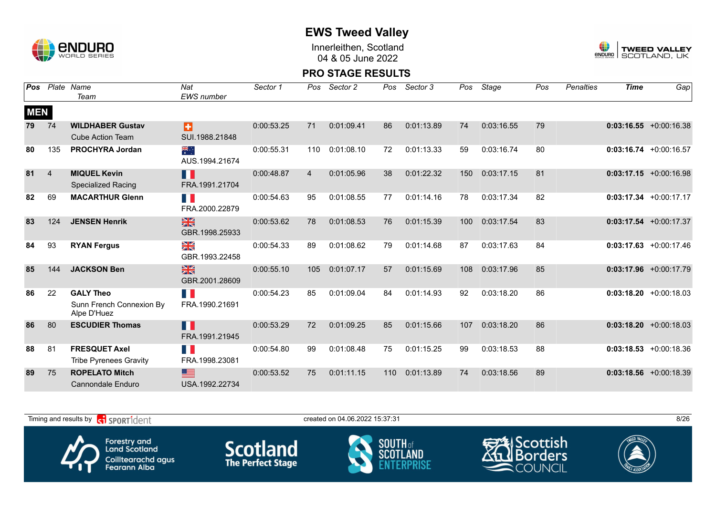

Innerleithen, Scotland 04 & 05 June 2022



#### **PRO STAGE RESULTS**

| Pos        |                | Plate Name                              | Nat                                       | Sector 1   | Pos            | Sector 2   | Pos | Sector 3   | Pos | Stage      | Pos | <b>Penalties</b> | <b>Time</b> | Gap                       |
|------------|----------------|-----------------------------------------|-------------------------------------------|------------|----------------|------------|-----|------------|-----|------------|-----|------------------|-------------|---------------------------|
|            |                | Team                                    | <b>EWS</b> number                         |            |                |            |     |            |     |            |     |                  |             |                           |
| <b>MEN</b> |                |                                         |                                           |            |                |            |     |            |     |            |     |                  |             |                           |
| 79         | 74             | <b>WILDHABER Gustav</b>                 | B                                         | 0:00:53.25 | 71             | 0:01:09.41 | 86  | 0:01:13.89 | 74  | 0:03:16.55 | 79  |                  |             | $0:03:16.55 + 0:00:16.38$ |
|            |                | <b>Cube Action Team</b>                 | SUI.1988.21848                            |            |                |            |     |            |     |            |     |                  |             |                           |
| 80         | 135            | <b>PROCHYRA Jordan</b>                  | ैं<br>AUS.1994.21674                      | 0:00:55.31 | 110            | 0:01:08.10 | 72  | 0:01:13.33 | 59  | 0:03:16.74 | 80  |                  |             | $0:03:16.74$ +0:00:16.57  |
| 81         | $\overline{4}$ | <b>MIQUEL Kevin</b>                     | H                                         | 0:00:48.87 | $\overline{4}$ | 0:01:05.96 | 38  | 0:01:22.32 | 150 | 0:03:17.15 | 81  |                  |             | $0:03:17.15$ +0:00:16.98  |
|            |                | <b>Specialized Racing</b>               | FRA.1991.21704                            |            |                |            |     |            |     |            |     |                  |             |                           |
| 82         | 69             | <b>MACARTHUR Glenn</b>                  | <b>TIME</b><br>FRA.2000.22879             | 0:00:54.63 | 95             | 0:01:08.55 | 77  | 0:01:14.16 | 78  | 0:03:17.34 | 82  |                  |             | $0:03:17.34$ +0:00:17.17  |
| 83         | 124            | <b>JENSEN Henrik</b>                    | $\frac{N}{N}$<br>GBR.1998.25933           | 0:00:53.62 | 78             | 0:01:08.53 | 76  | 0:01:15.39 | 100 | 0:03:17.54 | 83  |                  |             | $0:03:17.54$ +0:00:17.37  |
| 84         | 93             | <b>RYAN Fergus</b>                      | $\frac{\sum x}{\sum x}$<br>GBR.1993.22458 | 0:00:54.33 | 89             | 0:01:08.62 | 79  | 0:01:14.68 | 87  | 0:03:17.63 | 84  |                  |             | $0:03:17.63$ +0:00:17.46  |
| 85         | 144            | <b>JACKSON Ben</b>                      | $\frac{N}{N}$<br>GBR.2001.28609           | 0:00:55.10 | 105            | 0:01:07.17 | 57  | 0:01:15.69 | 108 | 0:03:17.96 | 85  |                  |             | $0:03:17.96$ +0:00:17.79  |
| 86         | 22             | <b>GALY Theo</b>                        | H.                                        | 0:00:54.23 | 85             | 0:01:09.04 | 84  | 0:01:14.93 | 92  | 0:03:18.20 | 86  |                  |             | $0:03:18.20 + 0:00:18.03$ |
|            |                | Sunn French Connexion By<br>Alpe D'Huez | FRA.1990.21691                            |            |                |            |     |            |     |            |     |                  |             |                           |
| 86         | 80             | <b>ESCUDIER Thomas</b>                  | H<br>FRA.1991.21945                       | 0:00:53.29 | 72             | 0:01:09.25 | 85  | 0:01:15.66 | 107 | 0:03:18.20 | 86  |                  |             | $0:03:18.20 +0:00:18.03$  |
| 88         | 81             | <b>FRESQUET Axel</b>                    |                                           | 0:00:54.80 | 99             | 0:01:08.48 | 75  | 0:01:15.25 | 99  | 0:03:18.53 | 88  |                  |             | $0:03:18.53 + 0:00:18.36$ |
|            |                | <b>Tribe Pyrenees Gravity</b>           | FRA.1998.23081                            |            |                |            |     |            |     |            |     |                  |             |                           |
| 89         | 75             | <b>ROPELATO Mitch</b>                   | ≊                                         | 0:00:53.52 | 75             | 0:01:11.15 | 110 | 0:01:13.89 | 74  | 0:03:18.56 | 89  |                  |             | $0:03:18.56$ +0:00:18.39  |
|            |                | Cannondale Enduro                       | USA.1992.22734                            |            |                |            |     |            |     |            |     |                  |             |                           |

Timing and results by  $\overline{c_1}$  SPORT1 $\overline{d}$  enter the created on 04.06.2022 15:37:31 8/26 Forestry and<br>Land Scotland Scottish **Scotland SOUTH** of orders scni Coilltearachd agus<br>Fearann Alba COUNCIL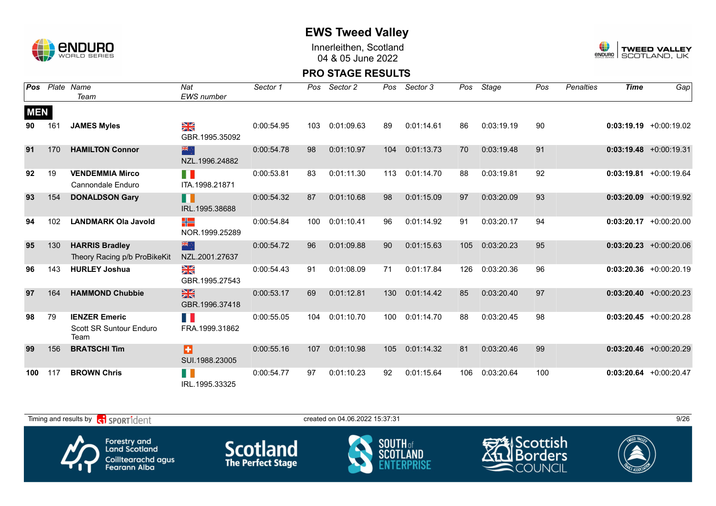

Innerleithen, Scotland 04 & 05 June 2022



| Pos        |     | Plate Name                                              | Nat                             | Sector 1   | Pos | Sector 2   | Pos | Sector 3   | Pos | Stage      | Pos | <b>Penalties</b> | <b>Time</b> | Gap                       |
|------------|-----|---------------------------------------------------------|---------------------------------|------------|-----|------------|-----|------------|-----|------------|-----|------------------|-------------|---------------------------|
|            |     | Team                                                    | <b>EWS</b> number               |            |     |            |     |            |     |            |     |                  |             |                           |
| <b>MEN</b> |     |                                                         |                                 |            |     |            |     |            |     |            |     |                  |             |                           |
| 90         | 161 | <b>JAMES Myles</b>                                      | ∑k<br>X<br>GBR.1995.35092       | 0:00:54.95 | 103 | 0:01:09.63 | 89  | 0:01:14.61 | 86  | 0:03:19.19 | 90  |                  |             | $0:03:19.19 + 0:00:19.02$ |
| 91         | 170 | <b>HAMILTON Connor</b>                                  | 米亭<br>NZL.1996.24882            | 0:00:54.78 | 98  | 0:01:10.97 | 104 | 0:01:13.73 | 70  | 0:03:19.48 | 91  |                  |             | $0:03:19.48$ +0:00:19.31  |
| 92         | 19  | <b>VENDEMMIA Mirco</b><br>Cannondale Enduro             | M.<br>ITA.1998.21871            | 0:00:53.81 | 83  | 0:01:11.30 | 113 | 0:01:14.70 | 88  | 0:03:19.81 | 92  |                  |             | $0:03:19.81$ +0:00:19.64  |
| 93         | 154 | <b>DONALDSON Gary</b>                                   | II.<br>IRL.1995.38688           | 0:00:54.32 | 87  | 0:01:10.68 | 98  | 0:01:15.09 | 97  | 0:03:20.09 | 93  |                  |             | $0:03:20.09$ +0:00:19.92  |
| 94         | 102 | <b>LANDMARK Ola Javold</b>                              | ╬<br>NOR.1999.25289             | 0:00:54.84 | 100 | 0:01:10.41 | 96  | 0:01:14.92 | 91  | 0:03:20.17 | 94  |                  |             | $0:03:20.17$ +0:00:20.00  |
| 95         | 130 | <b>HARRIS Bradley</b><br>Theory Racing p/b ProBikeKit   | 米心<br>NZL.2001.27637            | 0:00:54.72 | 96  | 0:01:09.88 | 90  | 0:01:15.63 | 105 | 0:03:20.23 | 95  |                  |             | $0:03:20.23$ +0:00:20.06  |
| 96         | 143 | <b>HURLEY Joshua</b>                                    | ≫<br>X<br>GBR.1995.27543        | 0:00:54.43 | 91  | 0:01:08.09 | 71  | 0:01:17.84 | 126 | 0:03:20.36 | 96  |                  |             | $0:03:20.36$ +0:00:20.19  |
| 97         | 164 | <b>HAMMOND Chubbie</b>                                  | $\frac{N}{N}$<br>GBR.1996.37418 | 0:00:53.17 | 69  | 0:01:12.81 | 130 | 0:01:14.42 | 85  | 0:03:20.40 | 97  |                  |             | $0:03:20.40 +0:00:20.23$  |
| 98         | 79  | <b>IENZER Emeric</b><br>Scott SR Suntour Enduro<br>Team | H<br>FRA.1999.31862             | 0:00:55.05 | 104 | 0:01:10.70 | 100 | 0:01:14.70 | 88  | 0:03:20.45 | 98  |                  |             | $0:03:20.45$ +0:00:20.28  |
| 99         | 156 | <b>BRATSCHI Tim</b>                                     | B<br>SUI.1988.23005             | 0:00:55.16 | 107 | 0:01:10.98 | 105 | 0:01:14.32 | 81  | 0:03:20.46 | 99  |                  |             | $0:03:20.46$ +0:00:20.29  |
| 100        | 117 | <b>BROWN Chris</b>                                      | IRL.1995.33325                  | 0:00:54.77 | 97  | 0:01:10.23 | 92  | 0:01:15.64 | 106 | 0:03:20.64 | 100 |                  |             | $0:03:20.64$ +0:00:20.47  |

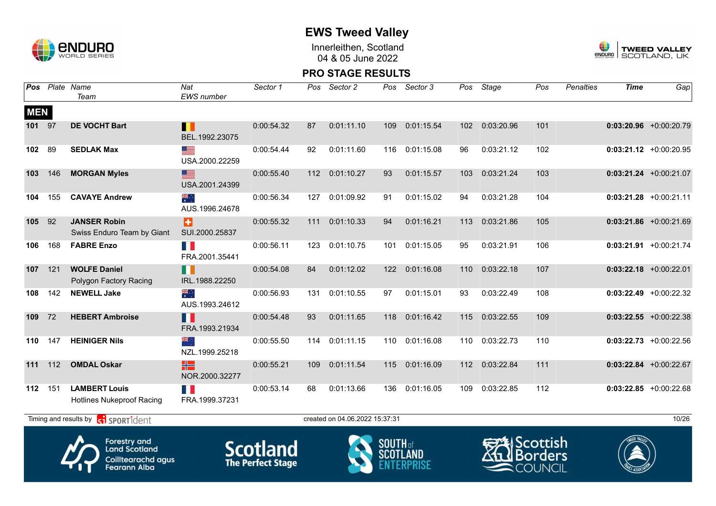

Innerleithen, Scotland 04 & 05 June 2022



#### **PRO STAGE RESULTS**

|            |     | Pos Plate Name<br>Team                                                            | Nat<br><b>EWS</b> number    | Sector 1                                    | Pos | Sector 2                       | Pos             | Sector 3        | Pos | Stage      | Pos                                            | <b>Penalties</b> | <b>Time</b> | Gap                      |
|------------|-----|-----------------------------------------------------------------------------------|-----------------------------|---------------------------------------------|-----|--------------------------------|-----------------|-----------------|-----|------------|------------------------------------------------|------------------|-------------|--------------------------|
| <b>MEN</b> |     |                                                                                   |                             |                                             |     |                                |                 |                 |     |            |                                                |                  |             |                          |
| 101        | 97  | <b>DE VOCHT Bart</b>                                                              | Ш<br>BEL.1992.23075         | 0:00:54.32                                  | 87  | 0:01:11.10                     | 109             | 0:01:15.54      | 102 | 0:03:20.96 | 101                                            |                  |             | $0:03:20.96$ +0:00:20.79 |
| 102        | 89  | <b>SEDLAK Max</b>                                                                 | ▆▆<br>USA.2000.22259        | 0:00:54.44                                  | 92  | 0:01:11.60                     | 116             | 0:01:15.08      | 96  | 0:03:21.12 | 102                                            |                  |             | $0:03:21.12$ +0:00:20.95 |
| 103        | 146 | <b>MORGAN Myles</b>                                                               | ▇<br>USA.2001.24399         | 0:00:55.40                                  | 112 | 0:01:10.27                     | 93              | 0:01:15.57      | 103 | 0:03:21.24 | 103                                            |                  |             | $0:03:21.24$ +0:00:21.07 |
| 104        | 155 | <b>CAVAYE Andrew</b>                                                              | ्हें<br>AUS.1996.24678      | 0:00:56.34                                  | 127 | 0:01:09.92                     | 91              | 0:01:15.02      | 94  | 0:03:21.28 | 104                                            |                  |             | $0:03:21.28$ +0:00:21.11 |
| 105        | 92  | <b>JANSER Robin</b><br>Swiss Enduro Team by Giant                                 | Ð<br>SUI.2000.25837         | 0:00:55.32                                  | 111 | 0:01:10.33                     | 94              | 0:01:16.21      | 113 | 0:03:21.86 | 105                                            |                  |             | $0:03:21.86$ +0:00:21.69 |
| 106        | 168 | <b>FABRE Enzo</b>                                                                 | H N<br>FRA.2001.35441       | 0:00:56.11                                  | 123 | 0:01:10.75                     | 101             | 0:01:15.05      | 95  | 0:03:21.91 | 106                                            |                  |             | $0:03:21.91$ +0:00:21.74 |
| 107        | 121 | <b>WOLFE Daniel</b><br>Polygon Factory Racing                                     | n<br>IRL.1988.22250         | 0:00:54.08                                  | 84  | 0:01:12.02                     | 122             | 0:01:16.08      | 110 | 0:03:22.18 | 107                                            |                  |             | $0:03:22.18$ +0:00:22.01 |
| 108        | 142 | <b>NEWELL Jake</b>                                                                | ्रें<br>र<br>AUS.1993.24612 | 0:00:56.93                                  | 131 | 0:01:10.55                     | 97              | 0:01:15.01      | 93  | 0:03:22.49 | 108                                            |                  |             | $0:03:22.49$ +0:00:22.32 |
| 109        | 72  | <b>HEBERT Ambroise</b>                                                            | H<br>FRA.1993.21934         | 0:00:54.48                                  | 93  | 0:01:11.65                     | 118             | 0:01:16.42      | 115 | 0:03:22.55 | 109                                            |                  |             | $0:03:22.55$ +0:00:22.38 |
| 110        | 147 | <b>HEINIGER Nils</b>                                                              | ÷, ak<br>NZL.1999.25218     | 0:00:55.50                                  | 114 | 0:01:11.15                     | 110             | 0:01:16.08      | 110 | 0:03:22.73 | 110                                            |                  |             | $0:03:22.73$ +0:00:22.56 |
| 111        | 112 | <b>OMDAL Oskar</b>                                                                | HS<br>NOR.2000.32277        | 0:00:55.21                                  | 109 | 0:01:11.54                     | 115             | 0:01:16.09      | 112 | 0:03:22.84 | 111                                            |                  |             | $0:03:22.84$ +0:00:22.67 |
| 112        | 151 | <b>LAMBERT Louis</b><br>Hotlines Nukeproof Racing                                 | F.<br>FRA.1999.37231        | 0:00:53.14                                  | 68  | 0:01:13.66                     | 136             | 0:01:16.05      | 109 | 0:03:22.85 | 112                                            |                  |             | $0:03:22.85$ +0:00:22.68 |
|            |     | Timing and results by <b>container that the SPORT1</b> dent                       |                             |                                             |     | created on 04.06.2022 15:37:31 |                 |                 |     |            |                                                |                  |             | 10/26                    |
|            |     | Forestry and<br><b>Land Scotland</b><br>Coilltearachd agus<br><b>Fearann Alba</b> |                             | <b>Scotland</b><br><b>The Perfect Stage</b> |     |                                | <b>SOUTH of</b> | <b>SCOTLAND</b> |     |            | 芝山Scottish<br><b>Borders</b><br><b>COUNCIL</b> |                  |             |                          |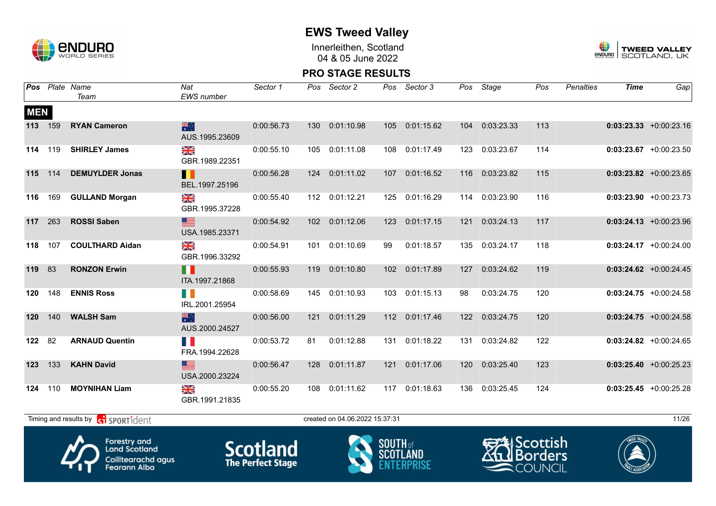

Innerleithen, Scotland 04 & 05 June 2022



#### **PRO STAGE RESULTS**

|            |         | <b>Pos</b> Plate Name<br>Team                             | Nat<br><b>EWS</b> number         | Sector 1   |     | Pos Sector 2                   |                                   | Pos Sector 3   |     | Pos Stage      | Pos | <b>Penalties</b> | <b>Time</b> | Gap                       |
|------------|---------|-----------------------------------------------------------|----------------------------------|------------|-----|--------------------------------|-----------------------------------|----------------|-----|----------------|-----|------------------|-------------|---------------------------|
| <b>MEN</b> | 113 159 | <b>RYAN Cameron</b>                                       | 米<br>AUS.1995.23609              | 0:00:56.73 |     | 130 0:01:10.98                 |                                   | 105 0:01:15.62 |     | 104 0:03:23.33 | 113 |                  |             | $0:03:23.33 + 0:00:23.16$ |
|            | 114 119 | <b>SHIRLEY James</b>                                      | XK<br>GBR.1989.22351             | 0:00:55.10 |     | 105 0:01:11.08                 | 108                               | 0:01:17.49     |     | 123 0:03:23.67 | 114 |                  |             | $0:03:23.67$ +0:00:23.50  |
|            | 115 114 | <b>DEMUYLDER Jonas</b>                                    | Ш<br>BEL.1997.25196              | 0:00:56.28 |     | 124 0:01:11.02                 | 107                               | 0:01:16.52     |     | 116 0:03:23.82 | 115 |                  |             | $0:03:23.82 + 0:00:23.65$ |
|            | 116 169 | <b>GULLAND Morgan</b>                                     | XK<br>GBR.1995.37228             | 0:00:55.40 |     | 112 0:01:12.21                 | 125                               | 0:01:16.29     |     | 114 0:03:23.90 | 116 |                  |             | $0:03:23.90 +0:00:23.73$  |
| 117 263    |         | <b>ROSSI Saben</b>                                        | ▆<br>USA.1985.23371              | 0:00:54.92 |     | 102 0:01:12.06                 | 123                               | 0:01:17.15     | 121 | 0:03:24.13     | 117 |                  |             | $0:03:24.13 + 0:00:23.96$ |
| 118        | 107     | <b>COULTHARD Aidan</b>                                    | ≥K<br>GBR.1996.33292             | 0:00:54.91 |     | 101  0:01:10.69                | 99                                | 0:01:18.57     |     | 135 0:03:24.17 | 118 |                  |             | $0:03:24.17$ +0:00:24.00  |
| 119 83     |         | <b>RONZON Erwin</b>                                       | $\blacksquare$<br>ITA.1997.21868 | 0:00:55.93 |     | 119 0:01:10.80                 | 102 <sub>2</sub>                  | 0:01:17.89     |     | 127 0:03:24.62 | 119 |                  |             | $0:03:24.62$ +0:00:24.45  |
| 120        | 148     | <b>ENNIS Ross</b>                                         | IRL.2001.25954                   | 0:00:58.69 | 145 | 0:01:10.93                     | 103                               | 0:01:15.13     | 98  | 0:03:24.75     | 120 |                  |             | $0:03:24.75$ +0:00:24.58  |
| 120        | 140     | <b>WALSH Sam</b>                                          | 糕<br>AUS.2000.24527              | 0:00:56.00 |     | 121 0:01:11.29                 |                                   | 112 0:01:17.46 |     | 122 0:03:24.75 | 120 |                  |             | $0:03:24.75$ +0:00:24.58  |
| 122        | 82      | <b>ARNAUD Quentin</b>                                     | n a<br>FRA.1994.22628            | 0:00:53.72 | 81  | 0:01:12.88                     | 131                               | 0:01:18.22     |     | 131 0:03:24.82 | 122 |                  |             | $0:03:24.82 + 0:00:24.65$ |
| 123 133    |         | <b>KAHN David</b>                                         | ▇<br>USA.2000.23224              | 0:00:56.47 |     | 128 0:01:11.87                 | 121                               | 0:01:17.06     |     | 120 0:03:25.40 | 123 |                  |             | $0:03:25.40 +0:00:25.23$  |
| 124        | 110     | <b>MOYNIHAN Liam</b>                                      | N<br>X<br>GBR.1991.21835         | 0:00:55.20 | 108 | 0:01:11.62                     | 117                               | 0:01:18.63     |     | 136 0:03:25.45 | 124 |                  |             | $0:03:25.45 + 0:00:25.28$ |
|            |         | Timing and results by <b>contains and the SPORT1</b> dent |                                  |            |     | created on 04.06.2022 15:37:31 |                                   |                |     |                |     |                  |             | 11/26                     |
|            |         | All Paulons and                                           |                                  |            |     |                                | $\sum_{i=1}^{n}$ $\sum_{i=1}^{n}$ |                |     | $\frac{1}{2}$  |     |                  | WEED VALLEY |                           |



Forestry and<br>Land Scotland Coilltearachd agus<br>Fearann Alba **Scotland**<br>The Perfect Stage





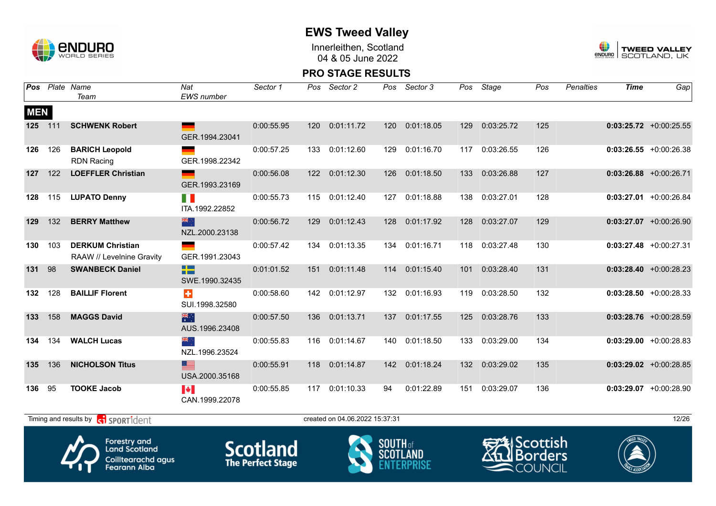

Innerleithen, Scotland 04 & 05 June 2022



#### **PRO STAGE RESULTS**

|            |     | Pos Plate Name<br>Team                               | Nat<br><b>EWS</b> number            | Sector 1    | Pos | Sector 2                       | Pos             | Sector 3       | Pos | Stage                   | Pos | Penalties | <b>Time</b> | Gap                       |
|------------|-----|------------------------------------------------------|-------------------------------------|-------------|-----|--------------------------------|-----------------|----------------|-----|-------------------------|-----|-----------|-------------|---------------------------|
| <b>MEN</b> |     |                                                      |                                     |             |     |                                |                 |                |     |                         |     |           |             |                           |
| 125 111    |     | <b>SCHWENK Robert</b>                                | GER.1994.23041                      | 0:00:55.95  | 120 | 0:01:11.72                     | 120             | 0:01:18.05     | 129 | 0:03:25.72              | 125 |           |             | $0:03:25.72$ +0:00:25.55  |
| 126        | 126 | <b>BARICH Leopold</b><br><b>RDN Racing</b>           | GER.1998.22342                      | 0:00:57.25  | 133 | 0:01:12.60                     | 129             | 0:01:16.70     |     | 117 0:03:26.55          | 126 |           |             | $0:03:26.55$ +0:00:26.38  |
| 127        | 122 | <b>LOEFFLER Christian</b>                            | GER.1993.23169                      | 0:00:56.08  |     | 122 0:01:12.30                 | 126             | 0:01:18.50     | 133 | 0:03:26.88              | 127 |           |             | $0:03:26.88$ +0:00:26.71  |
| 128        | 115 | <b>LUPATO Denny</b>                                  | H.<br>ITA.1992.22852                | 0:00:55.73  |     | 115 0:01:12.40                 | 127             | 0:01:18.88     | 138 | 0:03:27.01              | 128 |           |             | $0:03:27.01$ +0:00:26.84  |
| 129        | 132 | <b>BERRY Matthew</b>                                 | 器心<br>NZL.2000.23138                | 0:00:56.72  | 129 | 0:01:12.43                     | 128             | 0:01:17.92     | 128 | 0:03:27.07              | 129 |           |             | $0:03:27.07$ +0:00:26.90  |
| 130        | 103 | <b>DERKUM Christian</b><br>RAAW // Levelnine Gravity | GER.1991.23043                      | 0:00:57.42  | 134 | 0:01:13.35                     | 134             | 0:01:16.71     | 118 | 0:03:27.48              | 130 |           |             | $0:03:27.48$ +0:00:27.31  |
| 131        | 98  | <b>SWANBECK Daniel</b>                               | 22<br>SWE.1990.32435                | 0:01:01.52  | 151 | 0:01:11.48                     | 114             | 0:01:15.40     | 101 | 0:03:28.40              | 131 |           |             | $0:03:28.40 +0:00:28.23$  |
| 132        | 128 | <b>BAILLIF Florent</b>                               | ÷<br>SUI.1998.32580                 | 0:00:58.60  |     | 142 0:01:12.97                 |                 | 132 0:01:16.93 |     | 119 0:03:28.50          | 132 |           |             | $0:03:28.50 + 0:00:28.33$ |
| 133        | 158 | <b>MAGGS David</b>                                   | 業<br>AUS.1996.23408                 | 0:00:57.50  | 136 | 0:01:13.71                     | 137             | 0:01:17.55     | 125 | 0:03:28.76              | 133 |           |             | $0:03:28.76$ +0:00:28.59  |
| 134        | 134 | <b>WALCH Lucas</b>                                   | NZL.1996.23524                      | 0:00:55.83  |     | 116 0:01:14.67                 | 140             | 0:01:18.50     | 133 | 0:03:29.00              | 134 |           |             | $0:03:29.00 + 0:00:28.83$ |
| 135        | 136 | <b>NICHOLSON Titus</b>                               | ▆▆<br>USA.2000.35168                | 0:00:55.91  | 118 | 0:01:14.87                     | 142             | 0:01:18.24     | 132 | 0:03:29.02              | 135 |           |             | $0:03:29.02$ +0:00:28.85  |
| 136        | 95  | <b>TOOKE Jacob</b>                                   | <b>Participal</b><br>CAN.1999.22078 | 0:00:55.85  |     | 117 0:01:10.33                 | 94              | 0:01:22.89     |     | 151 0:03:29.07          | 136 |           |             | $0:03:29.07$ +0:00:28.90  |
|            |     | Timing and results by contrident                     |                                     |             |     | created on 04.06.2022 15:37:31 |                 |                |     |                         |     |           |             | 12/26                     |
|            |     | $\boldsymbol{P}$<br><b>Forestry and</b>              |                                     | $C$ cotland |     |                                | <b>SOUTH</b> of |                |     | <del>≌</del> ≸lScottish |     |           |             |                           |



**Land Scotland** Coilltearachd agus<br>Fearann Alba







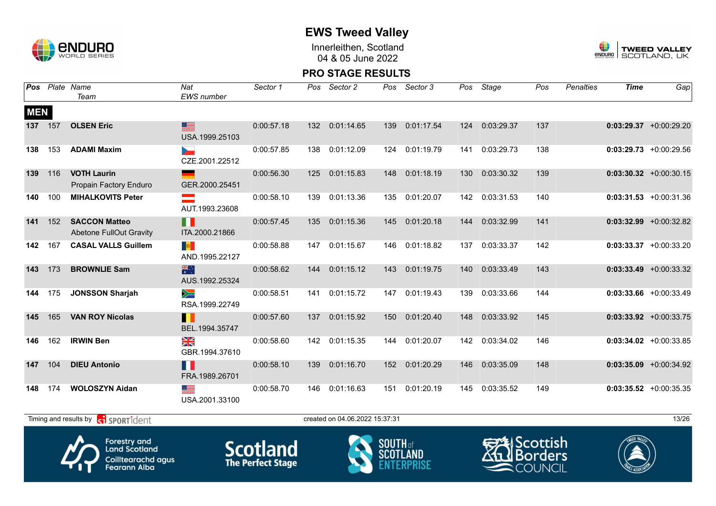

Innerleithen, Scotland 04 & 05 June 2022



|            |     | <b>Pos</b> Plate Name<br>Team                                                            | Nat<br>EWS number             | Sector 1                                    | Pos | Sector 2                       | Pos                      | Sector 3   | Pos | Stage      | Pos                                                                     | Penalties | <b>Time</b> | Gap                       |
|------------|-----|------------------------------------------------------------------------------------------|-------------------------------|---------------------------------------------|-----|--------------------------------|--------------------------|------------|-----|------------|-------------------------------------------------------------------------|-----------|-------------|---------------------------|
| <b>MEN</b> |     |                                                                                          |                               |                                             |     |                                |                          |            |     |            |                                                                         |           |             |                           |
| 137        | 157 | <b>OLSEN Eric</b>                                                                        | $\equiv$<br>USA.1999.25103    | 0:00:57.18                                  | 132 | 0:01:14.65                     | 139                      | 0:01:17.54 | 124 | 0:03:29.37 | 137                                                                     |           |             | $0:03:29.37$ +0:00:29.20  |
| 138        | 153 | <b>ADAMI Maxim</b>                                                                       | CZE.2001.22512                | 0:00:57.85                                  | 138 | 0:01:12.09                     | 124                      | 0:01:19.79 | 141 | 0:03:29.73 | 138                                                                     |           |             | $0:03:29.73$ +0:00:29.56  |
| 139        | 116 | <b>VOTH Laurin</b><br>Propain Factory Enduro                                             | GER.2000.25451                | 0:00:56.30                                  | 125 | 0:01:15.83                     | 148                      | 0:01:18.19 | 130 | 0:03:30.32 | 139                                                                     |           |             | $0:03:30.32$ +0:00:30.15  |
| 140        | 100 | <b>MIHALKOVITS Peter</b>                                                                 | ÷.<br>AUT.1993.23608          | 0:00:58.10                                  | 139 | 0:01:13.36                     | 135                      | 0:01:20.07 | 142 | 0:03:31.53 | 140                                                                     |           |             | $0:03:31.53 + 0:00:31.36$ |
| 141        | 152 | <b>SACCON Matteo</b><br><b>Abetone FullOut Gravity</b>                                   | H<br>ITA.2000.21866           | 0:00:57.45                                  | 135 | 0:01:15.36                     | 145                      | 0:01:20.18 | 144 | 0:03:32.99 | 141                                                                     |           |             | $0:03:32.99$ +0:00:32.82  |
| 142        | 167 | <b>CASAL VALLS Guillem</b>                                                               | 事<br>AND.1995.22127           | 0:00:58.88                                  | 147 | 0:01:15.67                     | 146                      | 0:01:18.82 | 137 | 0:03:33.37 | 142                                                                     |           |             | $0:03:33.37$ +0:00:33.20  |
| 143        | 173 | <b>BROWNLIE Sam</b>                                                                      | 米<br>AUS.1992.25324           | 0:00:58.62                                  | 144 | 0:01:15.12                     | 143                      | 0:01:19.75 | 140 | 0:03:33.49 | 143                                                                     |           |             | $0:03:33.49 + 0:00:33.32$ |
| 144        | 175 | <b>JONSSON Sharjah</b>                                                                   | $\geqslant$<br>RSA.1999.22749 | 0:00:58.51                                  | 141 | 0:01:15.72                     | 147                      | 0:01:19.43 | 139 | 0:03:33.66 | 144                                                                     |           |             | $0:03:33.66 + 0:00:33.49$ |
| 145        | 165 | <b>VAN ROY Nicolas</b>                                                                   | H<br>BEL.1994.35747           | 0:00:57.60                                  | 137 | 0:01:15.92                     | 150                      | 0:01:20.40 | 148 | 0:03:33.92 | 145                                                                     |           |             | $0:03:33.92 +0:00:33.75$  |
| 146        | 162 | <b>IRWIN Ben</b>                                                                         | ≫≪<br>GBR.1994.37610          | 0:00:58.60                                  | 142 | 0:01:15.35                     | 144                      | 0:01:20.07 | 142 | 0:03:34.02 | 146                                                                     |           |             | $0:03:34.02$ +0:00:33.85  |
| 147        | 104 | <b>DIEU Antonio</b>                                                                      | H<br>FRA.1989.26701           | 0:00:58.10                                  | 139 | 0:01:16.70                     | 152                      | 0:01:20.29 | 146 | 0:03:35.09 | 148                                                                     |           |             | $0:03:35.09$ +0:00:34.92  |
| 148        | 174 | <b>WOLOSZYN Aidan</b>                                                                    | ▓▆<br>USA.2001.33100          | 0:00:58.70                                  | 146 | 0:01:16.63                     | 151                      | 0:01:20.19 | 145 | 0:03:35.52 | 149                                                                     |           |             | $0:03:35.52 + 0:00:35.35$ |
|            |     | Timing and results by conservation                                                       |                               |                                             |     | created on 04.06.2022 15:37:31 |                          |            |     |            |                                                                         |           |             | 13/26                     |
|            |     | <b>Forestry and</b><br><b>Land Scotland</b><br>Coilltearachd agus<br><b>Fearann Alba</b> |                               | <b>Scotland</b><br><b>The Perfect Stage</b> |     |                                | <b>SOUTH</b> of<br>SCOTL |            |     |            | <del>S</del> AlScottish<br><b>ill</b> Borders<br>$\blacksquare$ COUNCIL |           |             |                           |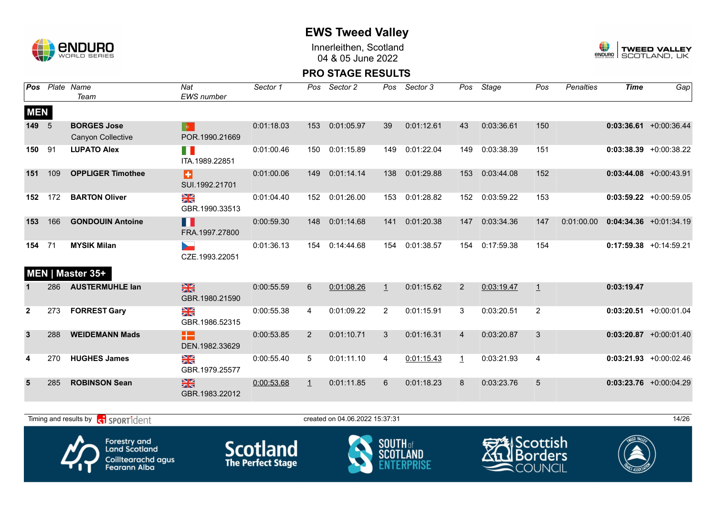

Innerleithen, Scotland 04 & 05 June 2022



#### **PRO STAGE RESULTS**

|              | <b>Pos</b> Plate | Name<br>Team             | Nat<br><b>EWS</b> number                          | Sector 1   | Pos            | Sector 2   | Pos     | Sector 3   | Pos            | Stage      | Pos | <b>Penalties</b> | <b>Time</b> | Gap                       |
|--------------|------------------|--------------------------|---------------------------------------------------|------------|----------------|------------|---------|------------|----------------|------------|-----|------------------|-------------|---------------------------|
| <b>MEN</b>   |                  |                          |                                                   |            |                |            |         |            |                |            |     |                  |             |                           |
| 149          | 5                | <b>BORGES Jose</b>       | $\bullet$                                         | 0:01:18.03 | 153            | 0:01:05.97 | 39      | 0:01:12.61 | 43             | 0:03:36.61 | 150 |                  |             | $0:03:36.61 + 0:00:36.44$ |
|              |                  | Canyon Collective        | POR.1990.21669                                    |            |                |            |         |            |                |            |     |                  |             |                           |
| 150          | 91               | <b>LUPATO Alex</b>       | FI I<br>ITA.1989.22851                            | 0:01:00.46 | 150            | 0:01:15.89 | 149     | 0:01:22.04 | 149            | 0:03:38.39 | 151 |                  |             | $0:03:38.39$ +0:00:38.22  |
| 151          | 109              | <b>OPPLIGER Timothee</b> | Ð<br>SUI.1992.21701                               | 0:01:00.06 | 149            | 0:01:14.14 | 138     | 0:01:29.88 | 153            | 0:03:44.08 | 152 |                  |             | $0:03:44.08$ +0:00:43.91  |
| 152          | 172              | <b>BARTON Oliver</b>     | NK<br>ZK<br>GBR.1990.33513                        | 0:01:04.40 | 152            | 0:01:26.00 | 153     | 0:01:28.82 | 152            | 0:03:59.22 | 153 |                  |             | $0:03:59.22 +0:00:59.05$  |
| 153          | 166              | <b>GONDOUIN Antoine</b>  | H<br>FRA.1997.27800                               | 0:00:59.30 | 148            | 0:01:14.68 | 141     | 0:01:20.38 | 147            | 0:03:34.36 | 147 | 0:01:00.00       |             | $0:04:34.36 + 0:01:34.19$ |
| 154          | 71               | <b>MYSIK Milan</b>       | b.<br>CZE.1993.22051                              | 0:01:36.13 | 154            | 0:14:44.68 | 154     | 0:01:38.57 | 154            | 0:17:59.38 | 154 |                  |             | $0:17:59.38$ +0:14:59.21  |
|              |                  | MEN   Master 35+         |                                                   |            |                |            |         |            |                |            |     |                  |             |                           |
|              | 286              | <b>AUSTERMUHLE lan</b>   | $\frac{N}{N}$<br>GBR.1980.21590                   | 0:00:55.59 | 6              | 0:01:08.26 | $\perp$ | 0:01:15.62 | $\overline{2}$ | 0:03:19.47 | 1   |                  | 0:03:19.47  |                           |
| $\mathbf{2}$ | 273              | <b>FORREST Gary</b>      | N<br>X<br>GBR.1986.52315                          | 0:00:55.38 | 4              | 0:01:09.22 | 2       | 0:01:15.91 | 3              | 0:03:20.51 | 2   |                  |             | $0:03:20.51$ +0:00:01.04  |
| $\mathbf{3}$ | 288              | <b>WEIDEMANN Mads</b>    | Æ<br>DEN.1982.33629                               | 0:00:53.85 | $\overline{2}$ | 0:01:10.71 | 3       | 0:01:16.31 | $\overline{4}$ | 0:03:20.87 | 3   |                  |             | $0:03:20.87$ +0:00:01.40  |
| 4            | 270              | <b>HUGHES James</b>      | $\frac{\mathbf{N}}{\mathbf{N}}$<br>GBR.1979.25577 | 0:00:55.40 | 5              | 0:01:11.10 | 4       | 0:01:15.43 | $\perp$        | 0:03:21.93 | 4   |                  |             | $0:03:21.93$ +0:00:02.46  |
| 5            | 285              | <b>ROBINSON Sean</b>     | $\frac{N}{N}$<br>GBR.1983.22012                   | 0:00:53.68 | $\perp$        | 0:01:11.85 | 6       | 0:01:18.23 | 8              | 0:03:23.76 | 5   |                  |             | $0:03:23.76$ +0:00:04.29  |
|              |                  |                          |                                                   |            |                |            |         |            |                |            |     |                  |             |                           |

Timing and results by  $\overline{c_1}$  SPORT1 $\overline{d}$  enter the created on 04.06.2022 15:37:31 14/26



Forestry and<br>Land Scotland Coilltearachd agus<br>Fearann Alba







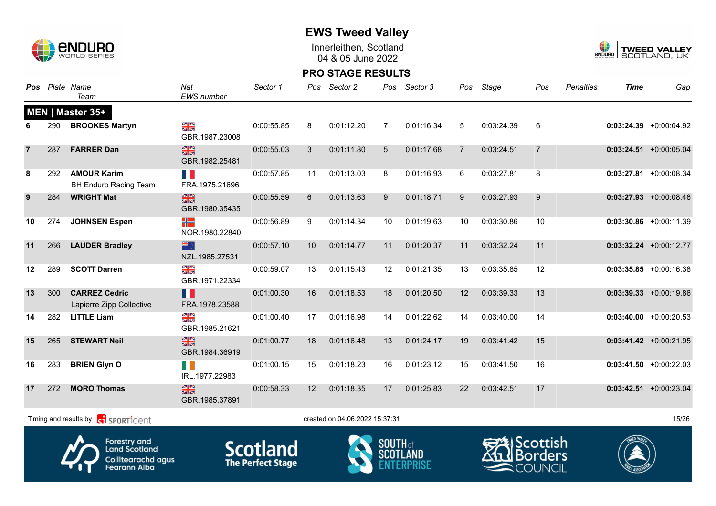

Innerleithen, Scotland 04 & 05 June 2022



#### **PRO STAGE RESULTS**

| <b>Pos</b>     |     | Plate Name<br>Team                                 | Nat<br>EWS number                                 | Sector 1   | Pos         | Sector 2                       | Pos            | Sector 3   | Pos            | Stage                                 | Pos            | Penalties | <b>Time</b> | Gap                       |
|----------------|-----|----------------------------------------------------|---------------------------------------------------|------------|-------------|--------------------------------|----------------|------------|----------------|---------------------------------------|----------------|-----------|-------------|---------------------------|
|                |     | MEN   Master 35+                                   |                                                   |            |             |                                |                |            |                |                                       |                |           |             |                           |
|                | 290 | <b>BROOKES Martyn</b>                              | $\frac{\mathbf{N}}{\mathbf{N}}$<br>GBR.1987.23008 | 0:00:55.85 | 8           | 0:01:12.20                     | $\overline{7}$ | 0:01:16.34 | 5              | 0:03:24.39                            | 6              |           |             | $0:03:24.39 +0:00:04.92$  |
| $\overline{7}$ | 287 | <b>FARRER Dan</b>                                  | $\frac{N}{N}$<br>GBR.1982.25481                   | 0:00:55.03 | 3           | 0:01:11.80                     | 5              | 0:01:17.68 | $\overline{7}$ | 0:03:24.51                            | $\overline{7}$ |           |             | $0:03:24.51$ +0:00:05.04  |
| 8              | 292 | <b>AMOUR Karim</b><br><b>BH Enduro Racing Team</b> | H<br>FRA.1975.21696                               | 0:00:57.85 | 11          | 0:01:13.03                     | 8              | 0:01:16.93 | 6              | 0:03:27.81                            | 8              |           |             | $0:03:27.81$ +0:00:08.34  |
| 9              | 284 | <b>WRIGHT Mat</b>                                  | $\frac{N}{N}$<br>GBR.1980.35435                   | 0:00:55.59 | $6^{\circ}$ | 0:01:13.63                     | 9              | 0:01:18.71 | 9              | 0:03:27.93                            | 9              |           |             | $0:03:27.93$ +0:00:08.46  |
| 10             | 274 | <b>JOHNSEN Espen</b>                               | ╬═<br>NOR.1980.22840                              | 0:00:56.89 | 9           | 0:01:14.34                     | 10             | 0:01:19.63 | 10             | 0:03:30.86                            | 10             |           |             | $0:03:30.86$ +0:00:11.39  |
| 11             | 266 | <b>LAUDER Bradley</b>                              | 米宁<br>NZL.1985.27531                              | 0:00:57.10 | 10          | 0:01:14.77                     | 11             | 0:01:20.37 | 11             | 0:03:32.24                            | 11             |           |             | $0:03:32.24$ +0:00:12.77  |
| 12             | 289 | <b>SCOTT Darren</b>                                | $\frac{\sum x}{\sum x}$<br>GBR.1971.22334         | 0:00:59.07 | 13          | 0:01:15.43                     | 12             | 0:01:21.35 | 13             | 0:03:35.85                            | 12             |           |             | $0:03:35.85 + 0:00:16.38$ |
| 13             | 300 | <b>CARREZ Cedric</b><br>Lapierre Zipp Collective   | Ш<br>FRA.1978.23588                               | 0:01:00.30 | 16          | 0:01:18.53                     | 18             | 0:01:20.50 | 12             | 0:03:39.33                            | 13             |           |             | $0:03:39.33$ +0:00:19.86  |
| 14             | 282 | <b>LITTLE Liam</b>                                 | $\frac{N}{N}$<br>GBR.1985.21621                   | 0:01:00.40 | 17          | 0:01:16.98                     | 14             | 0:01:22.62 | 14             | 0:03:40.00                            | 14             |           |             | $0:03:40.00$ +0:00:20.53  |
| 15             | 265 | <b>STEWART Neil</b>                                | $\frac{N}{N}$<br>GBR.1984.36919                   | 0:01:00.77 | 18          | 0:01:16.48                     | 13             | 0:01:24.17 | 19             | 0:03:41.42                            | 15             |           |             | $0:03:41.42 +0:00:21.95$  |
| 16             | 283 | <b>BRIEN Glyn O</b>                                | H N<br>IRL.1977.22983                             | 0:01:00.15 | 15          | 0:01:18.23                     | 16             | 0:01:23.12 | 15             | 0:03:41.50                            | 16             |           |             | $0:03:41.50$ +0:00:22.03  |
| 17             | 272 | <b>MORO Thomas</b>                                 | $\frac{N}{N}$<br>GBR.1985.37891                   | 0:00:58.33 | 12          | 0:01:18.35                     | 17             | 0:01:25.83 | 22             | 0:03:42.51                            | 17             |           |             | $0:03:42.51$ +0:00:23.04  |
|                |     | Timing and results by <b>contract</b> sport ident  |                                                   |            |             | created on 04.06.2022 15:37:31 |                |            |                |                                       |                |           |             | 15/26                     |
|                |     | <b>Enrestry and</b>                                |                                                   |            |             |                                | <b>COUTH</b>   |            |                | $r = \sqrt{k}$ $C_{\text{non-trich}}$ |                |           | WEED VALLEY |                           |



**Land Scotland** Coilltearachd agus<br>Fearann Alba







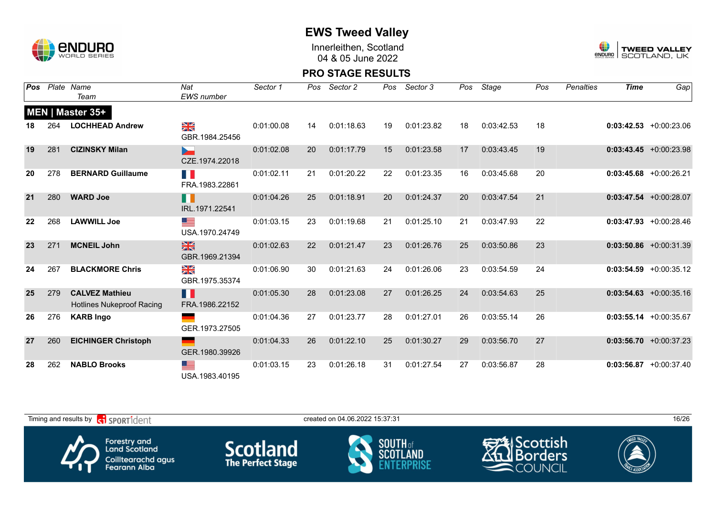

Innerleithen, Scotland 04 & 05 June 2022



| Pos |     | Plate Name                                                | Nat                                               | Sector 1   | Pos | Sector 2   | Pos | Sector 3   | Pos | Stage      | Pos | Penalties | <b>Time</b> | Gap                       |
|-----|-----|-----------------------------------------------------------|---------------------------------------------------|------------|-----|------------|-----|------------|-----|------------|-----|-----------|-------------|---------------------------|
|     |     | Team                                                      | EWS number                                        |            |     |            |     |            |     |            |     |           |             |                           |
|     |     | <b>MEN   Master 35+</b>                                   |                                                   |            |     |            |     |            |     |            |     |           |             |                           |
| 18  | 264 | <b>LOCHHEAD Andrew</b>                                    | $\frac{\mathbf{N}}{\mathbf{N}}$<br>GBR.1984.25456 | 0:01:00.08 | 14  | 0:01:18.63 | 19  | 0:01:23.82 | 18  | 0:03:42.53 | 18  |           |             | $0:03:42.53$ +0:00:23.06  |
| 19  | 281 | <b>CIZINSKY Milan</b>                                     | ►<br>CZE.1974.22018                               | 0:01:02.08 | 20  | 0:01:17.79 | 15  | 0:01:23.58 | 17  | 0:03:43.45 | 19  |           |             | $0:03:43.45 +0:00:23.98$  |
| 20  | 278 | <b>BERNARD Guillaume</b>                                  | n p<br>FRA.1983.22861                             | 0:01:02.11 | 21  | 0:01:20.22 | 22  | 0:01:23.35 | 16  | 0:03:45.68 | 20  |           |             | $0:03:45.68$ +0:00:26.21  |
| 21  | 280 | <b>WARD Joe</b>                                           | H I<br>IRL.1971.22541                             | 0:01:04.26 | 25  | 0:01:18.91 | 20  | 0:01:24.37 | 20  | 0:03:47.54 | 21  |           |             | $0:03:47.54$ +0:00:28.07  |
| 22  | 268 | <b>LAWWILL Joe</b>                                        | ▆▆<br>USA.1970.24749                              | 0:01:03.15 | 23  | 0:01:19.68 | 21  | 0:01:25.10 | 21  | 0:03:47.93 | 22  |           |             | $0:03:47.93 + 0:00:28.46$ |
| 23  | 271 | <b>MCNEIL John</b>                                        | 黑<br>GBR.1969.21394                               | 0:01:02.63 | 22  | 0:01:21.47 | 23  | 0:01:26.76 | 25  | 0:03:50.86 | 23  |           |             | $0:03:50.86$ +0:00:31.39  |
| 24  | 267 | <b>BLACKMORE Chris</b>                                    | $\frac{\mathbf{N}}{\mathbf{N}}$<br>GBR.1975.35374 | 0:01:06.90 | 30  | 0:01:21.63 | 24  | 0:01:26.06 | 23  | 0:03:54.59 | 24  |           |             | $0:03:54.59 + 0:00:35.12$ |
| 25  | 279 | <b>CALVEZ Mathieu</b><br><b>Hotlines Nukeproof Racing</b> | H<br>FRA.1986.22152                               | 0:01:05.30 | 28  | 0:01:23.08 | 27  | 0:01:26.25 | 24  | 0:03:54.63 | 25  |           |             | $0:03:54.63 + 0:00:35.16$ |
| 26  | 276 | <b>KARB Ingo</b>                                          | ٠<br>GER.1973.27505                               | 0:01:04.36 | 27  | 0:01:23.77 | 28  | 0:01:27.01 | 26  | 0:03:55.14 | 26  |           |             | $0:03:55.14 + 0:00:35.67$ |
| 27  | 260 | <b>EICHINGER Christoph</b>                                | GER.1980.39926                                    | 0:01:04.33 | 26  | 0:01:22.10 | 25  | 0:01:30.27 | 29  | 0:03:56.70 | 27  |           |             | $0:03:56.70 + 0:00:37.23$ |
| 28  | 262 | <b>NABLO Brooks</b>                                       | ▀▀<br>USA.1983.40195                              | 0:01:03.15 | 23  | 0:01:26.18 | 31  | 0:01:27.54 | 27  | 0:03:56.87 | 28  |           |             | $0:03:56.87$ +0:00:37.40  |

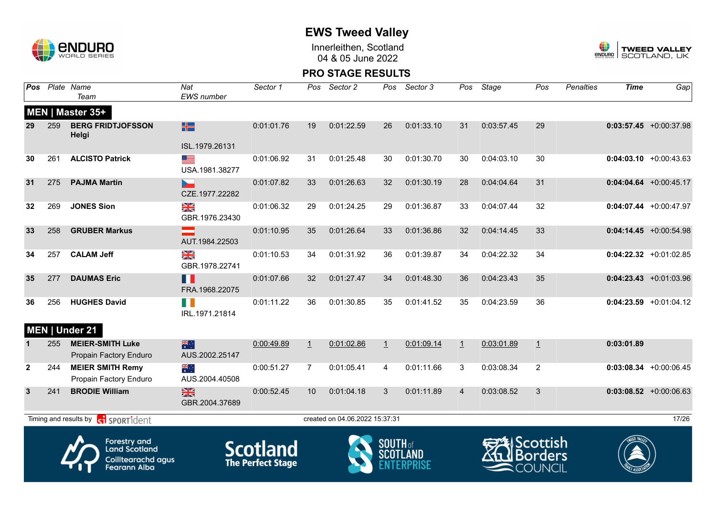

Innerleithen, Scotland 04 & 05 June 2022



| Pos          |     | Plate Name<br>Team                                                                | Nat<br>EWS number               | Sector 1                                    | Pos            | Sector 2                       | Pos             | Sector 3   | Pos     | Stage                  | Pos                                     | <b>Penalties</b> | <b>Time</b> | Gap                       |
|--------------|-----|-----------------------------------------------------------------------------------|---------------------------------|---------------------------------------------|----------------|--------------------------------|-----------------|------------|---------|------------------------|-----------------------------------------|------------------|-------------|---------------------------|
|              |     | MEN   Master 35+                                                                  |                                 |                                             |                |                                |                 |            |         |                        |                                         |                  |             |                           |
| 29           | 259 | <b>BERG FRIDTJOFSSON</b><br>Helgi                                                 | H                               | 0:01:01.76                                  | 19             | 0:01:22.59                     | 26              | 0:01:33.10 | 31      | 0:03:57.45             | 29                                      |                  |             | $0:03:57.45 + 0:00:37.98$ |
|              |     |                                                                                   | ISL.1979.26131                  |                                             |                |                                |                 |            |         |                        |                                         |                  |             |                           |
| 30           | 261 | <b>ALCISTO Patrick</b>                                                            | ▀▀<br>USA.1981.38277            | 0:01:06.92                                  | 31             | 0:01:25.48                     | 30              | 0:01:30.70 | 30      | 0:04:03.10             | 30                                      |                  |             | $0:04:03.10 + 0:00:43.63$ |
| 31           | 275 | <b>PAJMA Martin</b>                                                               | -<br>CZE.1977.22282             | 0:01:07.82                                  | 33             | 0:01:26.63                     | 32              | 0:01:30.19 | 28      | 0:04:04.64             | 31                                      |                  |             | $0:04:04.64$ +0:00:45.17  |
| 32           | 269 | <b>JONES Sion</b>                                                                 | $\frac{N}{N}$<br>GBR.1976.23430 | 0:01:06.32                                  | 29             | 0:01:24.25                     | 29              | 0:01:36.87 | 33      | 0:04:07.44             | 32                                      |                  |             | $0:04:07.44 +0:00:47.97$  |
| 33           | 258 | <b>GRUBER Markus</b>                                                              | AUT.1984.22503                  | 0:01:10.95                                  | 35             | 0:01:26.64                     | 33              | 0:01:36.86 | 32      | 0:04:14.45             | 33                                      |                  |             | $0:04:14.45 + 0:00:54.98$ |
| 34           | 257 | <b>CALAM Jeff</b>                                                                 | $\frac{N}{N}$<br>GBR.1978.22741 | 0:01:10.53                                  | 34             | 0:01:31.92                     | 36              | 0:01:39.87 | 34      | 0:04:22.32             | 34                                      |                  |             | $0:04:22.32$ +0:01:02.85  |
| 35           | 277 | <b>DAUMAS Eric</b>                                                                | Ш<br>FRA.1968.22075             | 0:01:07.66                                  | 32             | 0:01:27.47                     | 34              | 0:01:48.30 | 36      | 0:04:23.43             | 35                                      |                  |             | $0:04:23.43 +0:01:03.96$  |
| 36           | 256 | <b>HUGHES David</b>                                                               | H<br>IRL.1971.21814             | 0:01:11.22                                  | 36             | 0:01:30.85                     | 35              | 0:01:41.52 | 35      | 0:04:23.59             | 36                                      |                  |             | $0:04:23.59$ +0:01:04.12  |
|              |     | MEN   Under 21                                                                    |                                 |                                             |                |                                |                 |            |         |                        |                                         |                  |             |                           |
|              | 255 | <b>MEIER-SMITH Luke</b><br>Propain Factory Enduro                                 | 米<br>AUS.2002.25147             | 0:00:49.89                                  | $\perp$        | 0:01:02.86                     | $\overline{1}$  | 0:01:09.14 | $\perp$ | 0:03:01.89             | 1                                       |                  | 0:03:01.89  |                           |
| $\mathbf{2}$ | 244 | <b>MEIER SMITH Remy</b><br>Propain Factory Enduro                                 | ▓<br>AUS.2004.40508             | 0:00:51.27                                  | $\overline{7}$ | 0:01:05.41                     | 4               | 0:01:11.66 | 3       | 0:03:08.34             | 2                                       |                  |             | $0:03:08.34$ +0:00:06.45  |
| 3            | 241 | <b>BRODIE William</b>                                                             | $\frac{N}{N}$<br>GBR.2004.37689 | 0:00:52.45                                  | 10             | 0:01:04.18                     | 3               | 0:01:11.89 | 4       | 0:03:08.52             | 3                                       |                  |             | $0:03:08.52$ +0:00:06.63  |
|              |     | Timing and results by <b>contract</b> sport ident                                 |                                 |                                             |                | created on 04.06.2022 15:37:31 |                 |            |         |                        |                                         |                  |             | 17/26                     |
|              |     | Forestry and<br><b>Land Scotland</b><br>Coilltearachd agus<br><b>Fearann Alba</b> |                                 | <b>Scotland</b><br><b>The Perfect Stage</b> |                |                                | <b>SOUTH</b> of |            |         | $\blacksquare$ COUNCIL | <b>2</b> l Scottish<br><b>I</b> Borders |                  |             |                           |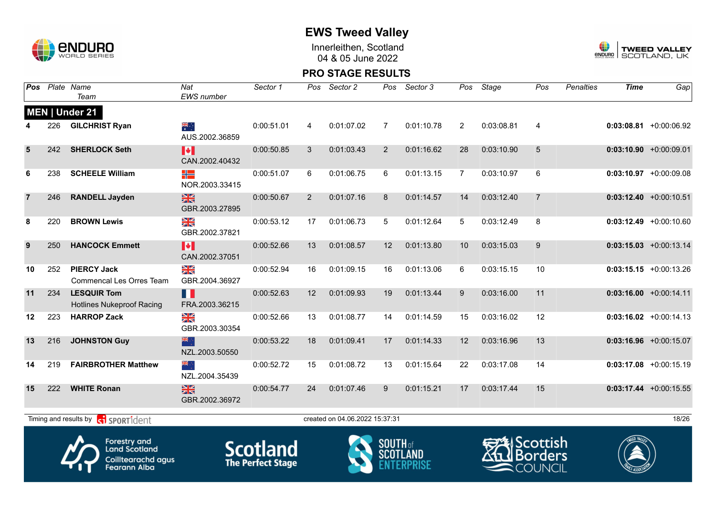

Innerleithen, Scotland 04 & 05 June 2022



| Pos            |     | Plate Name<br>Team                                                                       | Nat<br><b>EWS</b> number        | Sector 1                                    | Pos          | Sector 2                       | Pos             | Sector 3   | Pos            | Stage                                                       | Pos             | <b>Penalties</b> | <b>Time</b> | Gap                       |
|----------------|-----|------------------------------------------------------------------------------------------|---------------------------------|---------------------------------------------|--------------|--------------------------------|-----------------|------------|----------------|-------------------------------------------------------------|-----------------|------------------|-------------|---------------------------|
|                |     | MEN   Under 21                                                                           |                                 |                                             |              |                                |                 |            |                |                                                             |                 |                  |             |                           |
|                | 226 | <b>GILCHRIST Ryan</b>                                                                    | $\frac{1}{2}$<br>AUS.2002.36859 | 0:00:51.01                                  | 4            | 0:01:07.02                     | 7               | 0:01:10.78 | $\overline{2}$ | 0:03:08.81                                                  | $\overline{4}$  |                  |             | $0:03:08.81$ +0:00:06.92  |
| 5              | 242 | <b>SHERLOCK Seth</b>                                                                     | M<br>CAN.2002.40432             | 0:00:50.85                                  | $\mathbf{3}$ | 0:01:03.43                     | 2               | 0:01:16.62 | 28             | 0:03:10.90                                                  | $5\overline{)}$ |                  |             | $0:03:10.90 + 0:00:09.01$ |
| 6              | 238 | <b>SCHEELE William</b>                                                                   | ╬<br>NOR.2003.33415             | 0:00:51.07                                  | 6            | 0:01:06.75                     | 6               | 0:01:13.15 | $\overline{7}$ | 0:03:10.97                                                  | 6               |                  |             | $0:03:10.97$ +0:00:09.08  |
| $\overline{7}$ | 246 | <b>RANDELL Jayden</b>                                                                    | $\frac{N}{N}$<br>GBR.2003.27895 | 0:00:50.67                                  | 2            | 0:01:07.16                     | 8               | 0:01:14.57 | 14             | 0:03:12.40                                                  | $\overline{7}$  |                  |             | $0:03:12.40 +0:00:10.51$  |
| 8              | 220 | <b>BROWN Lewis</b>                                                                       | XK<br>X<br>GBR.2002.37821       | 0:00:53.12                                  | 17           | 0:01:06.73                     | 5               | 0:01:12.64 | 5              | 0:03:12.49                                                  | 8               |                  |             | $0:03:12.49$ +0:00:10.60  |
| 9              | 250 | <b>HANCOCK Emmett</b>                                                                    | M<br>CAN.2002.37051             | 0:00:52.66                                  | 13           | 0:01:08.57                     | 12              | 0:01:13.80 | 10             | 0:03:15.03                                                  | 9               |                  |             | $0:03:15.03$ +0:00:13.14  |
| 10             | 252 | <b>PIERCY Jack</b><br><b>Commencal Les Orres Team</b>                                    | ≫<br>X<br>GBR.2004.36927        | 0:00:52.94                                  | 16           | 0:01:09.15                     | 16              | 0:01:13.06 | 6              | 0:03:15.15                                                  | 10              |                  |             | $0:03:15.15 + 0:00:13.26$ |
| 11             | 234 | <b>LESQUIR Tom</b><br><b>Hotlines Nukeproof Racing</b>                                   | H<br>FRA.2003.36215             | 0:00:52.63                                  | 12           | 0:01:09.93                     | 19              | 0:01:13.44 | 9              | 0:03:16.00                                                  | 11              |                  |             | $0:03:16.00 + 0:00:14.11$ |
| $12 \,$        | 223 | <b>HARROP Zack</b>                                                                       | ≥k<br>GBR.2003.30354            | 0:00:52.66                                  | 13           | 0:01:08.77                     | 14              | 0:01:14.59 | 15             | 0:03:16.02                                                  | 12              |                  |             | $0:03:16.02 +0:00:14.13$  |
| 13             | 216 | <b>JOHNSTON Guy</b>                                                                      | 米心<br>NZL.2003.50550            | 0:00:53.22                                  | 18           | 0:01:09.41                     | 17              | 0:01:14.33 | 12             | 0:03:16.96                                                  | 13              |                  |             | $0:03:16.96$ +0:00:15.07  |
| 14             | 219 | <b>FAIRBROTHER Matthew</b>                                                               | ्रें≋<br>NZL.2004.35439         | 0:00:52.72                                  | 15           | 0:01:08.72                     | 13              | 0:01:15.64 | 22             | 0:03:17.08                                                  | 14              |                  |             | $0:03:17.08$ +0:00:15.19  |
| 15             | 222 | <b>WHITE Ronan</b>                                                                       | X<br>GBR.2002.36972             | 0:00:54.77                                  | 24           | 0:01:07.46                     | 9               | 0:01:15.21 | 17             | 0:03:17.44                                                  | 15              |                  |             | $0:03:17.44 + 0:00:15.55$ |
|                |     | Timing and results by <b>c</b> oper ident                                                |                                 |                                             |              | created on 04.06.2022 15:37:31 |                 |            |                |                                                             |                 |                  |             | 18/26                     |
|                |     | <b>Forestry and</b><br><b>Land Scotland</b><br>Coilltearachd agus<br><b>Fearann Alba</b> |                                 | <b>Scotland</b><br><b>The Perfect Stage</b> |              |                                | <b>SOUTH</b> of |            |                | च्≉lScottish<br><b>WE</b> Borders<br>$\blacksquare$ COUNCIL |                 |                  |             |                           |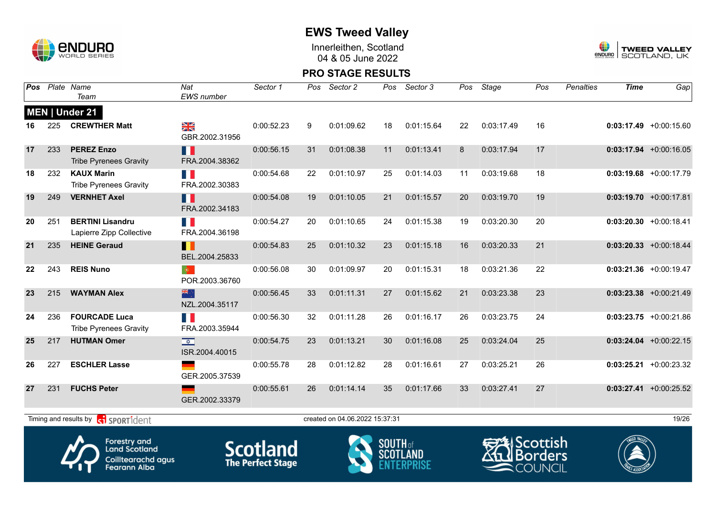

Innerleithen, Scotland 04 & 05 June 2022



| Pos |     | Plate Name<br>Team                                                                | Nat<br><b>EWS</b> number                  | Sector 1                                    | Pos | Sector 2                       | Pos                      | Sector 3   | Pos | Stage                   | Pos                                        | <b>Penalties</b> | <b>Time</b> | $\overline{Gap}$          |
|-----|-----|-----------------------------------------------------------------------------------|-------------------------------------------|---------------------------------------------|-----|--------------------------------|--------------------------|------------|-----|-------------------------|--------------------------------------------|------------------|-------------|---------------------------|
|     |     | MEN   Under 21                                                                    |                                           |                                             |     |                                |                          |            |     |                         |                                            |                  |             |                           |
| 16  | 225 | <b>CREWTHER Matt</b>                                                              | ≥K<br>GBR.2002.31956                      | 0:00:52.23                                  | 9   | 0:01:09.62                     | 18                       | 0:01:15.64 | 22  | 0:03:17.49              | 16                                         |                  |             | $0:03:17.49$ +0:00:15.60  |
| 17  | 233 | <b>PEREZ Enzo</b><br><b>Tribe Pyrenees Gravity</b>                                | H H<br>FRA.2004.38362                     | 0:00:56.15                                  | 31  | 0:01:08.38                     | 11                       | 0:01:13.41 | 8   | 0:03:17.94              | 17                                         |                  |             | $0:03:17.94 +0:00:16.05$  |
| 18  | 232 | <b>KAUX Marin</b><br><b>Tribe Pyrenees Gravity</b>                                | H<br>FRA.2002.30383                       | 0:00:54.68                                  | 22  | 0:01:10.97                     | 25                       | 0:01:14.03 | 11  | 0:03:19.68              | 18                                         |                  |             | $0:03:19.68$ +0:00:17.79  |
| 19  | 249 | <b>VERNHET Axel</b>                                                               | Ш<br>FRA.2002.34183                       | 0:00:54.08                                  | 19  | 0:01:10.05                     | 21                       | 0:01:15.57 | 20  | 0:03:19.70              | 19                                         |                  |             | $0:03:19.70 +0:00:17.81$  |
| 20  | 251 | <b>BERTINI Lisandru</b><br>Lapierre Zipp Collective                               | n N<br>FRA.2004.36198                     | 0:00:54.27                                  | 20  | 0:01:10.65                     | 24                       | 0:01:15.38 | 19  | 0:03:20.30              | 20                                         |                  |             | $0:03:20.30 + 0:00:18.41$ |
| 21  | 235 | <b>HEINE Geraud</b>                                                               | Ш<br>BEL.2004.25833                       | 0:00:54.83                                  | 25  | 0:01:10.32                     | 23                       | 0:01:15.18 | 16  | 0:03:20.33              | 21                                         |                  |             | $0:03:20.33 + 0:00:18.44$ |
| 22  | 243 | <b>REIS Nuno</b>                                                                  | $ \Phi\rangle$<br>POR.2003.36760          | 0:00:56.08                                  | 30  | 0:01:09.97                     | 20                       | 0:01:15.31 | 18  | 0:03:21.36              | 22                                         |                  |             | $0:03:21.36$ +0:00:19.47  |
| 23  | 215 | <b>WAYMAN Alex</b>                                                                | 米亭<br>NZL.2004.35117                      | 0:00:56.45                                  | 33  | 0:01:11.31                     | 27                       | 0:01:15.62 | 21  | 0:03:23.38              | 23                                         |                  |             | $0:03:23.38$ +0:00:21.49  |
| 24  | 236 | <b>FOURCADE Luca</b><br><b>Tribe Pyrenees Gravity</b>                             | H.<br>FRA.2003.35944                      | 0:00:56.30                                  | 32  | 0:01:11.28                     | 26                       | 0:01:16.17 | 26  | 0:03:23.75              | 24                                         |                  |             | $0:03:23.75$ +0:00:21.86  |
| 25  | 217 | <b>HUTMAN Omer</b>                                                                | $\overline{\mathbf{v}}$<br>ISR.2004.40015 | 0:00:54.75                                  | 23  | 0:01:13.21                     | 30                       | 0:01:16.08 | 25  | 0:03:24.04              | 25                                         |                  |             | $0:03:24.04$ +0:00:22.15  |
| 26  | 227 | <b>ESCHLER Lasse</b>                                                              | GER.2005.37539                            | 0:00:55.78                                  | 28  | 0:01:12.82                     | 28                       | 0:01:16.61 | 27  | 0:03:25.21              | 26                                         |                  |             | $0:03:25.21 + 0:00:23.32$ |
| 27  | 231 | <b>FUCHS Peter</b>                                                                | GER.2002.33379                            | 0:00:55.61                                  | 26  | 0:01:14.14                     | 35                       | 0:01:17.66 | 33  | 0:03:27.41              | 27                                         |                  |             | $0:03:27.41 + 0:00:25.52$ |
|     |     | Timing and results by <b>ci SPORT1</b> dent                                       |                                           |                                             |     | created on 04.06.2022 15:37:31 |                          |            |     |                         |                                            |                  |             | 19/26                     |
|     |     | Forestry and<br><b>Land Scotland</b><br>Coilltearachd agus<br><b>Fearann Alba</b> |                                           | <b>Scotland</b><br><b>The Perfect Stage</b> |     |                                | <b>SOUTH</b> of<br>SCOTL |            |     | <del>∋</del> ≸IScottish | <b>I</b> Borders<br>$\blacksquare$ COUNCIL |                  |             |                           |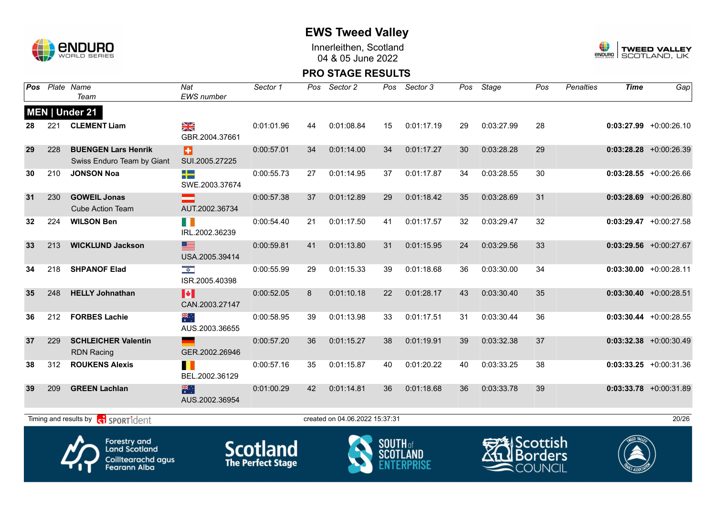

Innerleithen, Scotland 04 & 05 June 2022



#### **PRO STAGE RESULTS**

| Pos |     | Plate Name<br>Team                                                                       | Nat<br>EWS number                       | Sector 1                                    | Pos | Sector 2                       | Pos             | Sector 3        | Pos | Stage                                         | Pos            | <b>Penalties</b> | <b>Time</b> | Gap                       |
|-----|-----|------------------------------------------------------------------------------------------|-----------------------------------------|---------------------------------------------|-----|--------------------------------|-----------------|-----------------|-----|-----------------------------------------------|----------------|------------------|-------------|---------------------------|
|     |     | MEN   Under 21                                                                           |                                         |                                             |     |                                |                 |                 |     |                                               |                |                  |             |                           |
| 28  | 221 | <b>CLEMENT Liam</b>                                                                      | NK<br>Ak<br>GBR.2004.37661              | 0:01:01.96                                  | 44  | 0:01:08.84                     | 15              | 0:01:17.19      | 29  | 0:03:27.99                                    | 28             |                  |             | $0:03:27.99 +0:00:26.10$  |
| 29  | 228 | <b>BUENGEN Lars Henrik</b><br>Swiss Enduro Team by Giant                                 | Ð<br>SUI.2005.27225                     | 0:00:57.01                                  | 34  | 0:01:14.00                     | 34              | 0:01:17.27      | 30  | 0:03:28.28                                    | 29             |                  |             | $0:03:28.28$ +0:00:26.39  |
| 30  | 210 | <b>JONSON Noa</b>                                                                        | 42<br>SWE.2003.37674                    | 0:00:55.73                                  | 27  | 0:01:14.95                     | 37              | 0:01:17.87      | 34  | 0:03:28.55                                    | 30             |                  |             | $0:03:28.55 + 0:00:26.66$ |
| 31  | 230 | <b>GOWEIL Jonas</b><br><b>Cube Action Team</b>                                           | AUT.2002.36734                          | 0:00:57.38                                  | 37  | 0:01:12.89                     | 29              | 0:01:18.42      | 35  | 0:03:28.69                                    | 31             |                  |             | $0:03:28.69$ +0:00:26.80  |
| 32  | 224 | <b>WILSON Ben</b>                                                                        | H<br>IRL.2002.36239                     | 0:00:54.40                                  | 21  | 0:01:17.50                     | 41              | 0:01:17.57      | 32  | 0:03:29.47                                    | 32             |                  |             | $0:03:29.47$ +0:00:27.58  |
| 33  | 213 | <b>WICKLUND Jackson</b>                                                                  | ▆<br>USA.2005.39414                     | 0:00:59.81                                  | 41  | 0:01:13.80                     | 31              | 0:01:15.95      | 24  | 0:03:29.56                                    | 33             |                  |             | $0:03:29.56$ +0:00:27.67  |
| 34  | 218 | <b>SHPANOF Elad</b>                                                                      | $\frac{1}{\sqrt{2}}$<br>ISR.2005.40398  | 0:00:55.99                                  | 29  | 0:01:15.33                     | 39              | 0:01:18.68      | 36  | 0:03:30.00                                    | 34             |                  |             | $0:03:30.00 + 0:00:28.11$ |
| 35  | 248 | <b>HELLY Johnathan</b>                                                                   | $\blacktriangleright$<br>CAN.2003.27147 | 0:00:52.05                                  | 8   | 0:01:10.18                     | 22              | 0:01:28.17      | 43  | 0:03:30.40                                    | 35             |                  |             | $0:03:30.40 +0:00:28.51$  |
| 36  | 212 | <b>FORBES Lachie</b>                                                                     | ▓<br>AUS.2003.36655                     | 0:00:58.95                                  | 39  | 0:01:13.98                     | 33              | 0:01:17.51      | 31  | 0:03:30.44                                    | 36             |                  |             | $0:03:30.44 + 0:00:28.55$ |
| 37  | 229 | <b>SCHLEICHER Valentin</b><br><b>RDN Racing</b>                                          | GER.2002.26946                          | 0:00:57.20                                  | 36  | 0:01:15.27                     | 38              | 0:01:19.91      | 39  | 0:03:32.38                                    | 37             |                  |             | $0:03:32.38$ +0:00:30.49  |
| 38  | 312 | <b>ROUKENS Alexis</b>                                                                    | BEL.2002.36129                          | 0:00:57.16                                  | 35  | 0:01:15.87                     | 40              | 0:01:20.22      | 40  | 0:03:33.25                                    | 38             |                  |             | $0:03:33.25 +0:00:31.36$  |
| 39  | 209 | <b>GREEN Lachlan</b>                                                                     | 濃<br>AUS.2002.36954                     | 0:01:00.29                                  | 42  | 0:01:14.81                     | 36              | 0:01:18.68      | 36  | 0:03:33.78                                    | 39             |                  |             | $0:03:33.78$ +0:00:31.89  |
|     |     | Timing and results by contract of the SPORT1dent                                         |                                         |                                             |     | created on 04.06.2022 15:37:31 |                 |                 |     |                                               |                |                  |             | 20/26                     |
|     |     | <b>Forestry and</b><br><b>Land Scotland</b><br>Coilltearachd agus<br><b>Fearann Alba</b> |                                         | <b>Scotland</b><br><b>The Perfect Stage</b> |     |                                | <b>SOUTH</b> of | <b>SCOTLAND</b> |     | <b>DAI</b> Scottish<br>$\blacksquare$ COUNCIL | <b>Borders</b> |                  |             |                           |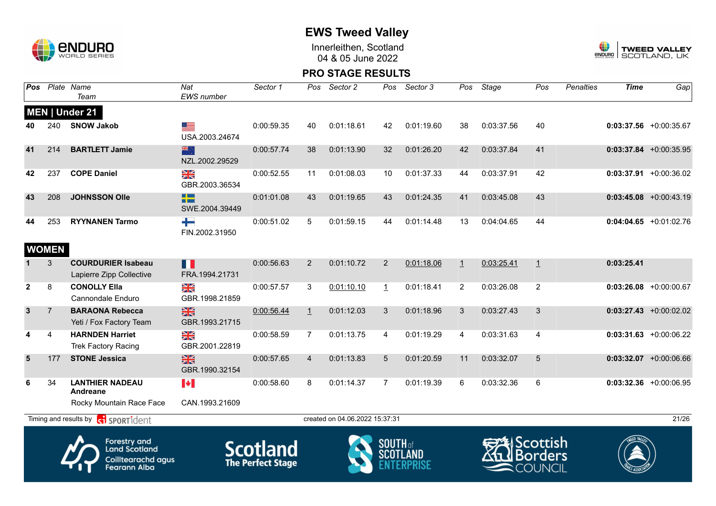

Innerleithen, Scotland 04 & 05 June 2022



| Pos            |                     | Plate Name<br>Team                                                                       | Nat<br><b>EWS</b> number                  | Sector 1                                    | Pos            | Sector 2                       | Pos             | Sector 3        | Pos            | Stage                                                     | Pos              | Penalties | <b>Time</b> | Gap                       |
|----------------|---------------------|------------------------------------------------------------------------------------------|-------------------------------------------|---------------------------------------------|----------------|--------------------------------|-----------------|-----------------|----------------|-----------------------------------------------------------|------------------|-----------|-------------|---------------------------|
|                |                     | MEN   Under 21                                                                           |                                           |                                             |                |                                |                 |                 |                |                                                           |                  |           |             |                           |
| 40             | 240                 | <b>SNOW Jakob</b>                                                                        | <u>est</u><br>USA.2003.24674              | 0:00:59.35                                  | 40             | 0:01:18.61                     | 42              | 0:01:19.60      | 38             | 0:03:37.56                                                | 40               |           |             | $0:03:37.56$ +0:00:35.67  |
| 41             | 214                 | <b>BARTLETT Jamie</b>                                                                    | 米<br>NZL.2002.29529                       | 0:00:57.74                                  | 38             | 0:01:13.90                     | 32              | 0:01:26.20      | 42             | 0:03:37.84                                                | 41               |           |             | $0:03:37.84$ +0:00:35.95  |
| 42             | 237                 | <b>COPE Daniel</b>                                                                       | X<br>GBR.2003.36534                       | 0:00:52.55                                  | 11             | 0:01:08.03                     | 10              | 0:01:37.33      | 44             | 0:03:37.91                                                | 42               |           |             | $0:03:37.91$ +0:00:36.02  |
| 43             | 208                 | <b>JOHNSSON Olle</b>                                                                     | n m<br>SWE.2004.39449                     | 0:01:01.08                                  | 43             | 0:01:19.65                     | 43              | 0:01:24.35      | 41             | 0:03:45.08                                                | 43               |           |             | $0:03:45.08$ +0:00:43.19  |
| 44             | 253<br><b>WOMEN</b> | <b>RYYNANEN Tarmo</b>                                                                    | ┶<br>FIN.2002.31950                       | 0:00:51.02                                  | 5              | 0:01:59.15                     | 44              | 0:01:14.48      | 13             | 0:04:04.65                                                | 44               |           |             | $0:04:04.65$ +0:01:02.76  |
|                | 3                   | <b>COURDURIER Isabeau</b><br>Lapierre Zipp Collective                                    | П<br>FRA.1994.21731                       | 0:00:56.63                                  | $\overline{2}$ | 0:01:10.72                     | 2               | 0:01:18.06      | $\perp$        | 0:03:25.41                                                | $\overline{1}$   |           | 0:03:25.41  |                           |
| $\mathbf{2}$   | 8                   | <b>CONOLLY Ella</b><br>Cannondale Enduro                                                 | $\frac{\sum x}{\sum x}$<br>GBR.1998.21859 | 0:00:57.57                                  | 3              | 0:01:10.10                     | $\perp$         | 0:01:18.41      | $\overline{2}$ | 0:03:26.08                                                | $\overline{2}$   |           |             | $0:03:26.08$ +0:00:00.67  |
| $\mathbf{3}$   | $\overline{7}$      | <b>BARAONA Rebecca</b><br>Yeti / Fox Factory Team                                        | $\frac{N}{N}$<br>GBR.1993.21715           | 0:00:56.44                                  | 1              | 0:01:12.03                     | 3               | 0:01:18.96      | 3              | 0:03:27.43                                                | 3                |           |             | $0:03:27.43 + 0:00:02.02$ |
| 4              | 4                   | <b>HARNDEN Harriet</b><br>Trek Factory Racing                                            | NK<br>Ak<br>GBR.2001.22819                | 0:00:58.59                                  | $\overline{7}$ | 0:01:13.75                     | 4               | 0:01:19.29      | 4              | 0:03:31.63                                                | $\overline{4}$   |           |             | $0:03:31.63$ +0:00:06.22  |
| $5\phantom{1}$ | 177                 | <b>STONE Jessica</b>                                                                     | $\frac{N}{N}$<br>GBR.1990.32154           | 0:00:57.65                                  | $\overline{4}$ | 0:01:13.83                     | 5               | 0:01:20.59      | 11             | 0:03:32.07                                                | 5                |           |             | $0:03:32.07$ +0:00:06.66  |
| 6              | 34                  | <b>LANTHIER NADEAU</b><br>Andreane                                                       | $\blacktriangleright$                     | 0:00:58.60                                  | 8              | 0:01:14.37                     | $\overline{7}$  | 0:01:19.39      | 6              | 0:03:32.36                                                | 6                |           |             | $0:03:32.36$ +0:00:06.95  |
|                |                     | Rocky Mountain Race Face                                                                 | CAN.1993.21609                            |                                             |                |                                |                 |                 |                |                                                           |                  |           |             |                           |
|                |                     | Timing and results by <b>container that the SPORT1</b> dent                              |                                           |                                             |                | created on 04.06.2022 15:37:31 |                 |                 |                |                                                           |                  |           |             | 21/26                     |
|                |                     | <b>Forestry and</b><br><b>Land Scotland</b><br>Coilltearachd agus<br><b>Fearann Alba</b> |                                           | <b>Scotland</b><br><b>The Perfect Stage</b> |                |                                | <b>SOUTH</b> of | <b>SCOTLAND</b> |                | <del>EA</del> lScottish<br>711.<br>$\blacksquare$ COUNCIL | <b>I</b> Borders |           |             |                           |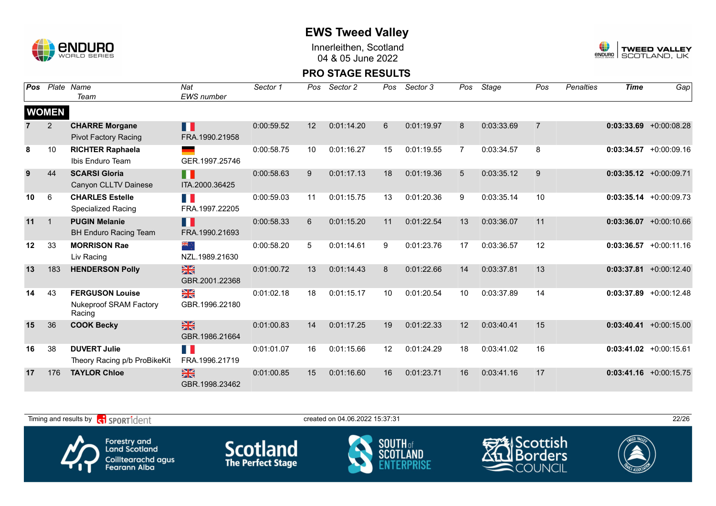

Innerleithen, Scotland 04 & 05 June 2022



| Pos |                | Plate Name<br>Team                      | Nat<br>EWS number               | Sector 1   | Pos | Sector 2   | Pos | Sector 3   | Pos | Stage      | Pos            | <b>Penalties</b> | <b>Time</b> | Gap                       |
|-----|----------------|-----------------------------------------|---------------------------------|------------|-----|------------|-----|------------|-----|------------|----------------|------------------|-------------|---------------------------|
|     |                |                                         |                                 |            |     |            |     |            |     |            |                |                  |             |                           |
|     | <b>WOMEN</b>   |                                         |                                 |            |     |            |     |            |     |            |                |                  |             |                           |
|     | $\overline{c}$ | <b>CHARRE Morgane</b>                   | П                               | 0:00:59.52 | 12  | 0:01:14.20 | 6   | 0:01:19.97 | 8   | 0:03:33.69 | $\overline{7}$ |                  |             | $0:03:33.69$ +0:00:08.28  |
|     |                | <b>Pivot Factory Racing</b>             | FRA.1990.21958                  |            |     |            |     |            |     |            |                |                  |             |                           |
| 8   | 10             | <b>RICHTER Raphaela</b>                 |                                 | 0:00:58.75 | 10  | 0:01:16.27 | 15  | 0:01:19.55 | 7   | 0:03:34.57 | 8              |                  |             | $0:03:34.57 + 0:00:09.16$ |
|     |                | Ibis Enduro Team                        | GER.1997.25746                  |            |     |            |     |            |     |            |                |                  |             |                           |
| 9   | 44             | <b>SCARSI Gloria</b>                    | n I                             | 0:00:58.63 | 9   | 0:01:17.13 | 18  | 0:01:19.36 | 5   | 0:03:35.12 | 9              |                  |             | $0:03:35.12 + 0:00:09.71$ |
|     |                | Canyon CLLTV Dainese                    | ITA.2000.36425                  |            |     |            |     |            |     |            |                |                  |             |                           |
| 10  | 6              | <b>CHARLES Estelle</b>                  | E.                              | 0:00:59.03 | 11  | 0:01:15.75 | 13  | 0:01:20.36 | 9   | 0:03:35.14 | 10             |                  |             | $0:03:35.14 + 0:00:09.73$ |
|     |                | <b>Specialized Racing</b>               | FRA.1997.22205                  |            |     |            |     |            |     |            |                |                  |             |                           |
| 11  | $\overline{1}$ | <b>PUGIN Melanie</b>                    | H                               | 0:00:58.33 | 6   | 0:01:15.20 | 11  | 0:01:22.54 | 13  | 0:03:36.07 | 11             |                  |             | $0:03:36.07$ +0:00:10.66  |
|     |                | <b>BH Enduro Racing Team</b>            | FRA.1990.21693                  |            |     |            |     |            |     |            |                |                  |             |                           |
| 12  | 33             | <b>MORRISON Rae</b>                     | , , क्राह                       | 0:00:58.20 | 5   | 0:01:14.61 | 9   | 0:01:23.76 | 17  | 0:03:36.57 | 12             |                  |             | $0:03:36.57 + 0:00:11.16$ |
|     |                | Liv Racing                              | NZL.1989.21630                  |            |     |            |     |            |     |            |                |                  |             |                           |
| 13  | 183            | <b>HENDERSON Polly</b>                  | $\frac{N}{N}$<br>GBR.2001.22368 | 0:01:00.72 | 13  | 0:01:14.43 | 8   | 0:01:22.66 | 14  | 0:03:37.81 | 13             |                  |             | $0:03:37.81$ +0:00:12.40  |
| 14  | 43             | <b>FERGUSON Louise</b>                  | ≥k                              | 0:01:02.18 | 18  | 0:01:15.17 | 10  | 0:01:20.54 | 10  | 0:03:37.89 | 14             |                  |             | $0:03:37.89$ +0:00:12.48  |
|     |                | <b>Nukeproof SRAM Factory</b><br>Racing | GBR.1996.22180                  |            |     |            |     |            |     |            |                |                  |             |                           |
| 15  | 36             | <b>COOK Becky</b>                       | $\frac{N}{N}$                   | 0:01:00.83 | 14  | 0:01:17.25 | 19  | 0:01:22.33 | 12  | 0:03:40.41 | 15             |                  |             | $0:03:40.41$ +0:00:15.00  |
|     |                |                                         | GBR.1986.21664                  |            |     |            |     |            |     |            |                |                  |             |                           |
| 16  | 38             | <b>DUVERT Julie</b>                     | a j                             | 0:01:01.07 | 16  | 0:01:15.66 | 12  | 0:01:24.29 | 18  | 0:03:41.02 | 16             |                  |             | $0:03:41.02 +0:00:15.61$  |
|     |                | Theory Racing p/b ProBikeKit            | FRA.1996.21719                  |            |     |            |     |            |     |            |                |                  |             |                           |
| 17  | 176            | <b>TAYLOR Chloe</b>                     | $\frac{N}{N}$<br>GBR.1998.23462 | 0:01:00.85 | 15  | 0:01:16.60 | 16  | 0:01:23.71 | 16  | 0:03:41.16 | 17             |                  |             | $0:03:41.16$ +0:00:15.75  |

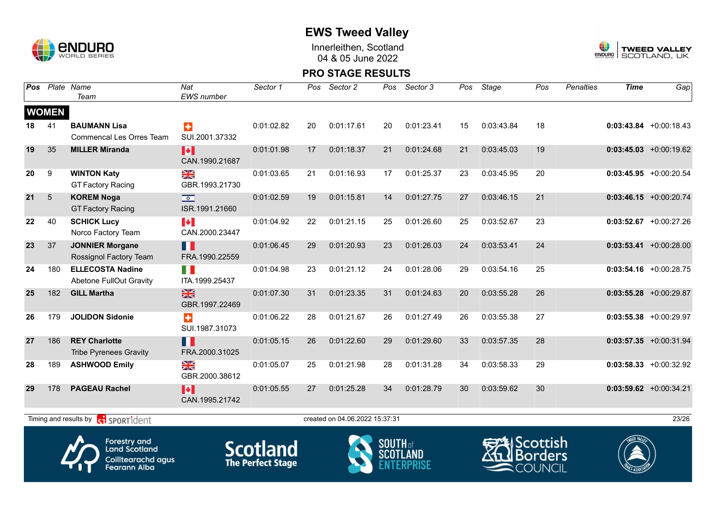

Innerleithen, Scotland 04 & 05 June 2022



#### **PRO STAGE RESULTS**

| Pos |              | Plate Name<br>Team                                    | Nat<br><b>EWS</b> number                                           | Sector 1   | Pos | Sector 2                       | Pos     | Sector 3   | Pos | Stage         | Pos | Penalties | <b>Time</b> | Gap                       |
|-----|--------------|-------------------------------------------------------|--------------------------------------------------------------------|------------|-----|--------------------------------|---------|------------|-----|---------------|-----|-----------|-------------|---------------------------|
|     | <b>WOMEN</b> |                                                       |                                                                    |            |     |                                |         |            |     |               |     |           |             |                           |
| 18  | 41           | <b>BAUMANN Lisa</b><br>Commencal Les Orres Team       | $\ddot{\textbf{r}}$<br>SUI.2001.37332                              | 0:01:02.82 | 20  | 0:01:17.61                     | 20      | 0:01:23.41 | 15  | 0:03:43.84    | 18  |           |             | $0:03:43.84 + 0:00:18.43$ |
| 19  | 35           | <b>MILLER Miranda</b>                                 | H<br>CAN.1990.21687                                                | 0:01:01.98 | 17  | 0:01:18.37                     | 21      | 0:01:24.68 | 21  | 0:03:45.03    | 19  |           |             | $0:03:45.03 +0:00:19.62$  |
| 20  | 9            | <b>WINTON Katy</b><br><b>GT Factory Racing</b>        | ≫≪<br>GBR.1993.21730                                               | 0:01:03.65 | 21  | 0:01:16.93                     | 17      | 0:01:25.37 | 23  | 0:03:45.95    | 20  |           |             | $0:03:45.95$ +0:00:20.54  |
| 21  | 5            | <b>KOREM Noga</b><br><b>GT Factory Racing</b>         | $\overline{\mathbf{R}^{\mathbf{r}}_{\mathbf{r}}$<br>ISR.1991.21660 | 0:01:02.59 | 19  | 0:01:15.81                     | 14      | 0:01:27.75 | 27  | 0:03:46.15    | 21  |           |             | $0:03:46.15$ +0:00:20.74  |
| 22  | 40           | <b>SCHICK Lucy</b><br>Norco Factory Team              | $\blacktriangleright$<br>CAN.2000.23447                            | 0:01:04.92 | 22  | 0:01:21.15                     | 25      | 0:01:26.60 | 25  | 0:03:52.67    | 23  |           |             | $0:03:52.67$ +0:00:27.26  |
| 23  | 37           | <b>JONNIER Morgane</b><br>Rossignol Factory Team      | H<br>FRA.1990.22559                                                | 0:01:06.45 | 29  | 0:01:20.93                     | 23      | 0:01:26.03 | 24  | 0:03:53.41    | 24  |           |             | $0:03:53.41 + 0:00:28.00$ |
| 24  | 180          | <b>ELLECOSTA Nadine</b><br>Abetone FullOut Gravity    | T N<br>ITA.1999.25437                                              | 0:01:04.98 | 23  | 0:01:21.12                     | 24      | 0:01:28.06 | 29  | 0:03:54.16    | 25  |           |             | $0:03:54.16$ +0:00:28.75  |
| 25  | 182          | <b>GILL Martha</b>                                    | $\frac{N}{N}$<br>GBR.1997.22469                                    | 0:01:07.30 | 31  | 0:01:23.35                     | 31      | 0:01:24.63 | 20  | 0:03:55.28    | 26  |           |             | $0:03:55.28 + 0:00:29.87$ |
| 26  | 179          | <b>JOLIDON Sidonie</b>                                | ÷<br>SUI.1987.31073                                                | 0:01:06.22 | 28  | 0:01:21.67                     | 26      | 0:01:27.49 | 26  | 0:03:55.38    | 27  |           |             | $0:03:55.38$ +0:00:29.97  |
| 27  | 186          | <b>REY Charlotte</b><br><b>Tribe Pyrenees Gravity</b> | M<br>FRA.2000.31025                                                | 0:01:05.15 | 26  | 0:01:22.60                     | 29      | 0:01:29.60 | 33  | 0:03:57.35    | 28  |           |             | $0:03:57.35$ +0:00:31.94  |
| 28  | 189          | <b>ASHWOOD Emily</b>                                  | ≫≪<br>GBR.2000.38612                                               | 0:01:05.07 | 25  | 0:01:21.98                     | 28      | 0:01:31.28 | 34  | 0:03:58.33    | 29  |           |             | $0:03:58.33 + 0:00:32.92$ |
| 29  | 178          | <b>PAGEAU Rachel</b>                                  | H<br>CAN.1995.21742                                                | 0:01:05.55 | 27  | 0:01:25.28                     | 34      | 0:01:28.79 | 30  | 0:03:59.62    | 30  |           |             | $0:03:59.62$ +0:00:34.21  |
|     |              | Timing and results by<br><b>R</b> sportident          |                                                                    |            |     | created on 04.06.2022 15:37:31 |         |            |     |               |     |           |             | 23/26                     |
|     |              | Earnetry and                                          |                                                                    |            |     | <b>The Second Street</b>       | 0011711 |            |     | $\rightarrow$ |     |           | WEED VALLEY |                           |



**Land Scotland** Coilltearachd agus<br>Fearann Alba





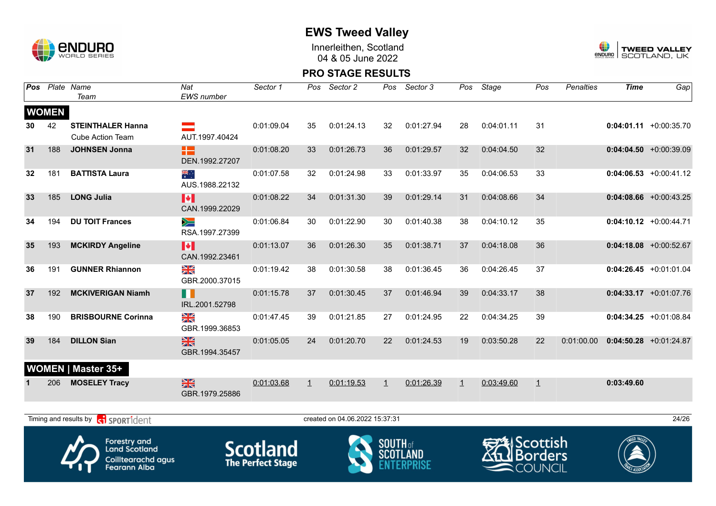

## **EWS Tweed Valley**

Innerleithen, Scotland 04 & 05 June 2022



| Pos |              | Plate Name<br>Team                                                                              | Nat<br><b>EWS</b> number        | Sector 1                                    | Pos     | Sector 2                       | Pos             | Sector 3        | Pos          | <b>Stage</b>            | Pos                                | <b>Penalties</b> | <b>Time</b> | Gap                       |
|-----|--------------|-------------------------------------------------------------------------------------------------|---------------------------------|---------------------------------------------|---------|--------------------------------|-----------------|-----------------|--------------|-------------------------|------------------------------------|------------------|-------------|---------------------------|
|     | <b>WOMEN</b> |                                                                                                 |                                 |                                             |         |                                |                 |                 |              |                         |                                    |                  |             |                           |
| 30  | 42           | <b>STEINTHALER Hanna</b><br><b>Cube Action Team</b>                                             | AUT.1997.40424                  | 0:01:09.04                                  | 35      | 0:01:24.13                     | 32              | 0:01:27.94      | 28           | 0:04:01.11              | 31                                 |                  |             | $0:04:01.11 + 0:00:35.70$ |
| 31  | 188          | <b>JOHNSEN Jonna</b>                                                                            | 22<br>DEN.1992.27207            | 0:01:08.20                                  | 33      | 0:01:26.73                     | 36              | 0:01:29.57      | 32           | 0:04:04.50              | 32                                 |                  |             | $0:04:04.50 + 0:00:39.09$ |
| 32  | 181          | <b>BATTISTA Laura</b>                                                                           | ैँहैं<br>AUS.1988.22132         | 0:01:07.58                                  | 32      | 0:01:24.98                     | 33              | 0:01:33.97      | 35           | 0:04:06.53              | 33                                 |                  |             | $0:04:06.53 + 0:00:41.12$ |
| 33  | 185          | <b>LONG Julia</b>                                                                               | H<br>CAN.1999.22029             | 0:01:08.22                                  | 34      | 0:01:31.30                     | 39              | 0:01:29.14      | 31           | 0:04:08.66              | 34                                 |                  |             | $0:04:08.66$ +0:00:43.25  |
| 34  | 194          | <b>DU TOIT Frances</b>                                                                          | $\searrow$<br>RSA.1997.27399    | 0:01:06.84                                  | 30      | 0:01:22.90                     | 30              | 0:01:40.38      | 38           | 0:04:10.12              | 35                                 |                  |             | $0:04:10.12 +0:00:44.71$  |
| 35  | 193          | <b>MCKIRDY Angeline</b>                                                                         | H<br>CAN.1992.23461             | 0:01:13.07                                  | 36      | 0:01:26.30                     | 35              | 0:01:38.71      | 37           | 0:04:18.08              | 36                                 |                  |             | $0:04:18.08 + 0:00:52.67$ |
| 36  | 191          | <b>GUNNER Rhiannon</b>                                                                          | $\frac{N}{N}$<br>GBR.2000.37015 | 0:01:19.42                                  | 38      | 0:01:30.58                     | 38              | 0:01:36.45      | 36           | 0:04:26.45              | 37                                 |                  |             | $0:04:26.45$ +0:01:01.04  |
| 37  | 192          | <b>MCKIVERIGAN Niamh</b>                                                                        | H<br>IRL.2001.52798             | 0:01:15.78                                  | 37      | 0:01:30.45                     | 37              | 0:01:46.94      | 39           | 0:04:33.17              | 38                                 |                  |             | $0:04:33.17 +0:01:07.76$  |
| 38  | 190          | <b>BRISBOURNE Corinna</b>                                                                       | X<br>GBR.1999.36853             | 0:01:47.45                                  | 39      | 0:01:21.85                     | 27              | 0:01:24.95      | 22           | 0:04:34.25              | 39                                 |                  |             | $0:04:34.25$ +0:01:08.84  |
| 39  | 184          | <b>DILLON Sian</b>                                                                              | $\frac{N}{N}$<br>GBR.1994.35457 | 0:01:05.05                                  | 24      | 0:01:20.70                     | 22              | 0:01:24.53      | 19           | 0:03:50.28              | 22                                 | 0:01:00.00       |             | $0:04:50.28$ +0:01:24.87  |
|     |              | <b>WOMEN   Master 35+</b>                                                                       |                                 |                                             |         |                                |                 |                 |              |                         |                                    |                  |             |                           |
|     | 206          | <b>MOSELEY Tracy</b>                                                                            | $\frac{N}{N}$<br>GBR.1979.25886 | 0:01:03.68                                  | $\perp$ | 0:01:19.53                     | $\mathbf{1}$    | 0:01:26.39      | $\mathbf{1}$ | 0:03:49.60              | $\perp$                            |                  | 0:03:49.60  |                           |
|     |              | Timing and results by <b>c</b> o <b>SPORT1</b> dent                                             |                                 |                                             |         | created on 04.06.2022 15:37:31 |                 |                 |              |                         |                                    |                  |             | 24/26                     |
|     |              | <b>Forestry and</b><br><b>Land Scotland</b><br><b>Coilltearachd agus</b><br><b>Fearann Alba</b> |                                 | <b>Scotland</b><br><b>The Perfect Stage</b> |         |                                | <b>SOUTH</b> of | <b>SCOTLAND</b> |              | <del>RA</del> lScottish | <b>I</b> Borders<br><b>COUNCIL</b> |                  |             |                           |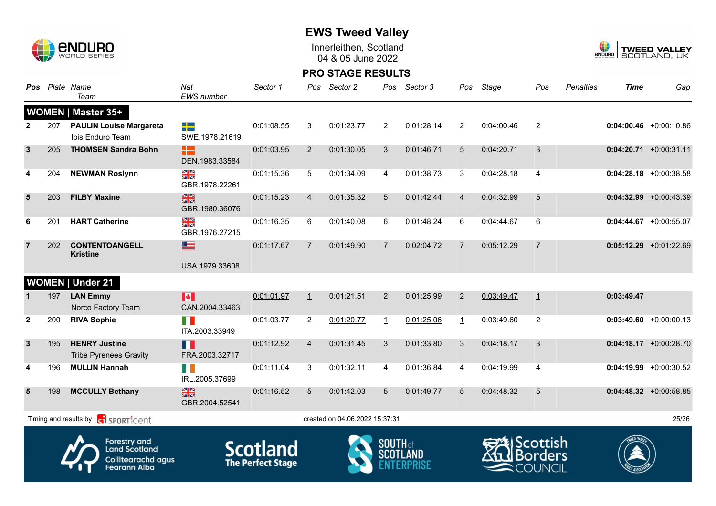

Innerleithen, Scotland 04 & 05 June 2022



| Pos            |     | Plate Name<br>Team                                                                       | Nat<br><b>EWS</b> number        | Sector 1                                    | Pos            | Sector 2                       | Pos             | Sector 3        | Pos            | Stage      | Pos                                                        | <b>Penalties</b> | <b>Time</b> | Gap                       |
|----------------|-----|------------------------------------------------------------------------------------------|---------------------------------|---------------------------------------------|----------------|--------------------------------|-----------------|-----------------|----------------|------------|------------------------------------------------------------|------------------|-------------|---------------------------|
|                |     | <b>WOMEN   Master 35+</b>                                                                |                                 |                                             |                |                                |                 |                 |                |            |                                                            |                  |             |                           |
| $\mathbf{2}$   | 207 | <b>PAULIN Louise Margareta</b><br>Ibis Enduro Team                                       | ╬<br>SWE.1978.21619             | 0:01:08.55                                  | 3              | 0:01:23.77                     | $\overline{2}$  | 0:01:28.14      | 2              | 0:04:00.46 | 2                                                          |                  |             | $0:04:00.46$ +0:00:10.86  |
| $\mathbf{3}$   | 205 | <b>THOMSEN Sandra Bohn</b>                                                               | æ<br>DEN.1983.33584             | 0:01:03.95                                  | $\overline{2}$ | 0:01:30.05                     | 3               | 0:01:46.71      | 5              | 0:04:20.71 | 3                                                          |                  |             | $0:04:20.71$ +0:00:31.11  |
| 4              | 204 | <b>NEWMAN Roslynn</b>                                                                    | XX<br>GBR.1978.22261            | 0:01:15.36                                  | 5              | 0:01:34.09                     | 4               | 0:01:38.73      | 3              | 0:04:28.18 | $\overline{4}$                                             |                  |             | $0:04:28.18$ +0:00:38.58  |
| $5\phantom{1}$ | 203 | <b>FILBY Maxine</b>                                                                      | $\frac{N}{N}$<br>GBR.1980.36076 | 0:01:15.23                                  | $\overline{4}$ | 0:01:35.32                     | 5               | 0:01:42.44      | $\overline{4}$ | 0:04:32.99 | $\overline{5}$                                             |                  |             | $0:04:32.99 + 0:00:43.39$ |
| 6              | 201 | <b>HART Catherine</b>                                                                    | NK<br>ZK<br>GBR.1976.27215      | 0:01:16.35                                  | 6              | 0:01:40.08                     | 6               | 0:01:48.24      | 6              | 0:04:44.67 | 6                                                          |                  |             | $0:04:44.67$ +0:00:55.07  |
| $\overline{7}$ | 202 | <b>CONTENTOANGELL</b><br><b>Kristine</b>                                                 | ▇<br>USA.1979.33608             | 0:01:17.67                                  | $\overline{7}$ | 0:01:49.90                     | $\overline{7}$  | 0:02:04.72      | $\overline{7}$ | 0:05:12.29 | $\overline{7}$                                             |                  |             | $0:05:12.29$ +0:01:22.69  |
|                |     |                                                                                          |                                 |                                             |                |                                |                 |                 |                |            |                                                            |                  |             |                           |
|                |     | <b>WOMEN   Under 21</b>                                                                  |                                 |                                             |                |                                |                 |                 |                |            |                                                            |                  |             |                           |
| $\mathbf 1$    | 197 | <b>LAN Emmy</b><br>Norco Factory Team                                                    | M<br>CAN.2004.33463             | 0:01:01.97                                  | $\perp$        | 0:01:21.51                     | $\overline{2}$  | 0:01:25.99      | $\overline{2}$ | 0:03:49.47 | $\overline{1}$                                             |                  | 0:03:49.47  |                           |
| $\overline{2}$ | 200 | <b>RIVA Sophie</b>                                                                       | FI N<br>ITA.2003.33949          | 0:01:03.77                                  | $\overline{2}$ | 0:01:20.77                     | $\mathbf{1}$    | 0:01:25.06      | $\mathbf{1}$   | 0:03:49.60 | $\overline{2}$                                             |                  |             | $0:03:49.60 + 0:00:00.13$ |
| $\mathbf{3}$   | 195 | <b>HENRY Justine</b><br><b>Tribe Pyrenees Gravity</b>                                    | П<br>FRA.2003.32717             | 0:01:12.92                                  | $\overline{4}$ | 0:01:31.45                     | 3               | 0:01:33.80      | 3              | 0:04:18.17 | 3                                                          |                  |             | $0:04:18.17$ +0:00:28.70  |
| 4              | 196 | <b>MULLIN Hannah</b>                                                                     | H.<br>IRL.2005.37699            | 0:01:11.04                                  | 3              | 0:01:32.11                     | 4               | 0:01:36.84      | 4              | 0:04:19.99 | $\overline{4}$                                             |                  |             | $0:04:19.99$ +0:00:30.52  |
| 5              | 198 | <b>MCCULLY Bethany</b>                                                                   | $\frac{N}{N}$<br>GBR.2004.52541 | 0:01:16.52                                  | 5              | 0:01:42.03                     | 5               | 0:01:49.77      | 5              | 0:04:48.32 | 5                                                          |                  |             | $0:04:48.32$ +0:00:58.85  |
|                |     | Timing and results by contract of the SPORT1dent                                         |                                 |                                             |                | created on 04.06.2022 15:37:31 |                 |                 |                |            |                                                            |                  |             | 25/26                     |
|                |     | <b>Forestry and</b><br><b>Land Scotland</b><br>Coilltearachd agus<br><b>Fearann Alba</b> |                                 | <b>Scotland</b><br><b>The Perfect Stage</b> |                |                                | <b>SOUTH</b> of | <b>SCOTLAND</b> |                |            | <i><b>Scottish</b></i><br><b>Borders</b><br><b>COUNCIL</b> |                  |             |                           |